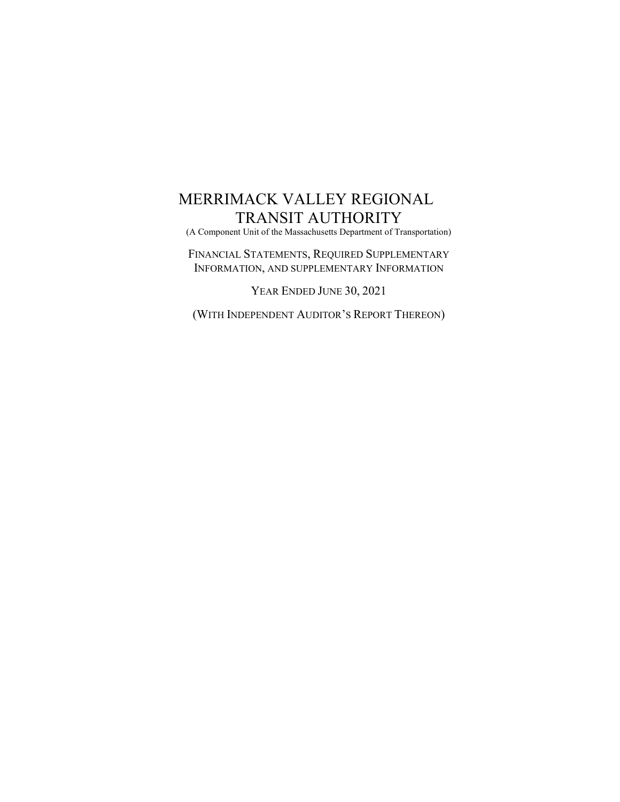(A Component Unit of the Massachusetts Department of Transportation)

FINANCIAL STATEMENTS, REQUIRED SUPPLEMENTARY INFORMATION, AND SUPPLEMENTARY INFORMATION

YEAR ENDED JUNE 30, 2021

(WITH INDEPENDENT AUDITOR'S REPORT THEREON)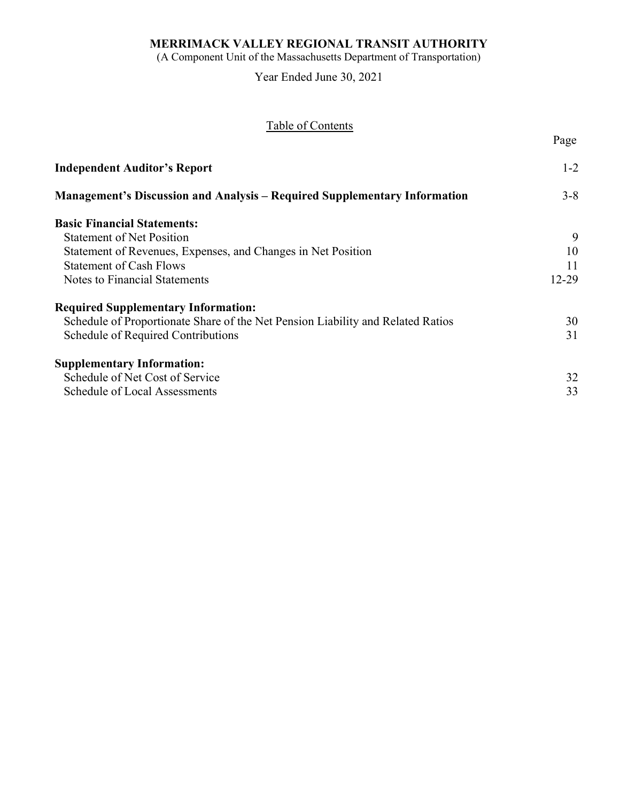(A Component Unit of the Massachusetts Department of Transportation)

Year Ended June 30, 2021

|                                                                                  | Page      |
|----------------------------------------------------------------------------------|-----------|
| <b>Independent Auditor's Report</b>                                              | $1 - 2$   |
| <b>Management's Discussion and Analysis - Required Supplementary Information</b> | $3 - 8$   |
| <b>Basic Financial Statements:</b>                                               |           |
| <b>Statement of Net Position</b>                                                 | 9         |
| Statement of Revenues, Expenses, and Changes in Net Position                     | 10        |
| <b>Statement of Cash Flows</b>                                                   | 11        |
| Notes to Financial Statements                                                    | $12 - 29$ |
| <b>Required Supplementary Information:</b>                                       |           |
| Schedule of Proportionate Share of the Net Pension Liability and Related Ratios  | 30        |
| Schedule of Required Contributions                                               | 31        |
| <b>Supplementary Information:</b>                                                |           |
| Schedule of Net Cost of Service                                                  | 32        |
| Schedule of Local Assessments                                                    | 33        |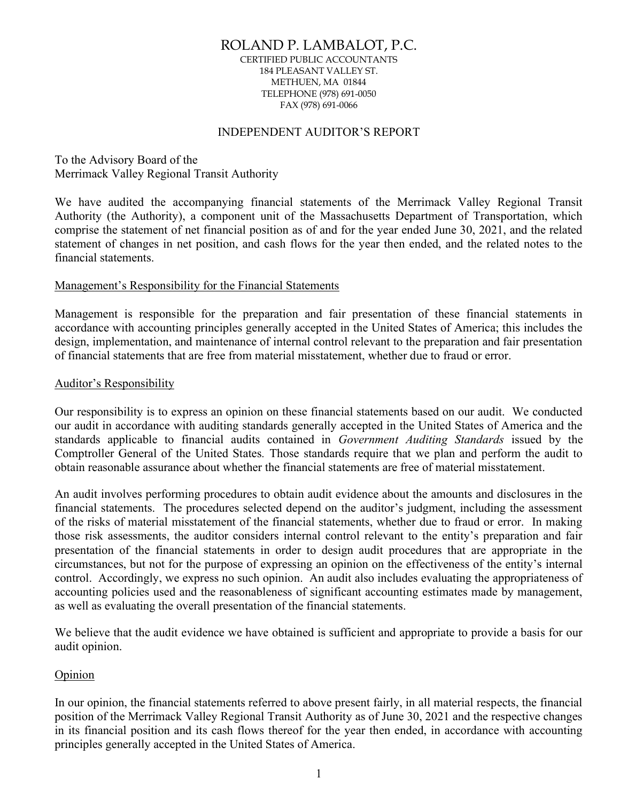## ROLAND P. LAMBALOT, P.C.

CERTIFIED PUBLIC ACCOUNTANTS 184 PLEASANT VALLEY ST. METHUEN, MA 01844 TELEPHONE (978) 691-0050 FAX (978) 691-0066

### INDEPENDENT AUDITOR'S REPORT

To the Advisory Board of the Merrimack Valley Regional Transit Authority

We have audited the accompanying financial statements of the Merrimack Valley Regional Transit Authority (the Authority), a component unit of the Massachusetts Department of Transportation, which comprise the statement of net financial position as of and for the year ended June 30, 2021, and the related statement of changes in net position, and cash flows for the year then ended, and the related notes to the financial statements.

### Management's Responsibility for the Financial Statements

Management is responsible for the preparation and fair presentation of these financial statements in accordance with accounting principles generally accepted in the United States of America; this includes the design, implementation, and maintenance of internal control relevant to the preparation and fair presentation of financial statements that are free from material misstatement, whether due to fraud or error.

### Auditor's Responsibility

Our responsibility is to express an opinion on these financial statements based on our audit. We conducted our audit in accordance with auditing standards generally accepted in the United States of America and the standards applicable to financial audits contained in Government Auditing Standards issued by the Comptroller General of the United States. Those standards require that we plan and perform the audit to obtain reasonable assurance about whether the financial statements are free of material misstatement.

An audit involves performing procedures to obtain audit evidence about the amounts and disclosures in the financial statements. The procedures selected depend on the auditor's judgment, including the assessment of the risks of material misstatement of the financial statements, whether due to fraud or error. In making those risk assessments, the auditor considers internal control relevant to the entity's preparation and fair presentation of the financial statements in order to design audit procedures that are appropriate in the circumstances, but not for the purpose of expressing an opinion on the effectiveness of the entity's internal control. Accordingly, we express no such opinion. An audit also includes evaluating the appropriateness of accounting policies used and the reasonableness of significant accounting estimates made by management, as well as evaluating the overall presentation of the financial statements.

We believe that the audit evidence we have obtained is sufficient and appropriate to provide a basis for our audit opinion.

## Opinion

In our opinion, the financial statements referred to above present fairly, in all material respects, the financial position of the Merrimack Valley Regional Transit Authority as of June 30, 2021 and the respective changes in its financial position and its cash flows thereof for the year then ended, in accordance with accounting principles generally accepted in the United States of America.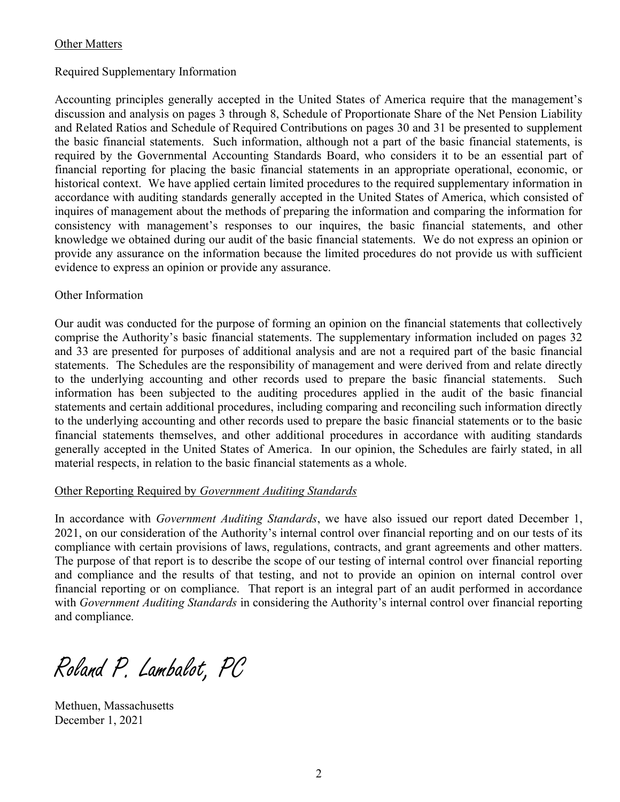## Other Matters

### Required Supplementary Information

Accounting principles generally accepted in the United States of America require that the management's discussion and analysis on pages 3 through 8, Schedule of Proportionate Share of the Net Pension Liability and Related Ratios and Schedule of Required Contributions on pages 30 and 31 be presented to supplement the basic financial statements. Such information, although not a part of the basic financial statements, is required by the Governmental Accounting Standards Board, who considers it to be an essential part of financial reporting for placing the basic financial statements in an appropriate operational, economic, or historical context. We have applied certain limited procedures to the required supplementary information in accordance with auditing standards generally accepted in the United States of America, which consisted of inquires of management about the methods of preparing the information and comparing the information for consistency with management's responses to our inquires, the basic financial statements, and other knowledge we obtained during our audit of the basic financial statements. We do not express an opinion or provide any assurance on the information because the limited procedures do not provide us with sufficient evidence to express an opinion or provide any assurance.

### Other Information

Our audit was conducted for the purpose of forming an opinion on the financial statements that collectively comprise the Authority's basic financial statements. The supplementary information included on pages 32 and 33 are presented for purposes of additional analysis and are not a required part of the basic financial statements. The Schedules are the responsibility of management and were derived from and relate directly to the underlying accounting and other records used to prepare the basic financial statements. Such information has been subjected to the auditing procedures applied in the audit of the basic financial statements and certain additional procedures, including comparing and reconciling such information directly to the underlying accounting and other records used to prepare the basic financial statements or to the basic financial statements themselves, and other additional procedures in accordance with auditing standards generally accepted in the United States of America. In our opinion, the Schedules are fairly stated, in all material respects, in relation to the basic financial statements as a whole.

## Other Reporting Required by Government Auditing Standards

In accordance with *Government Auditing Standards*, we have also issued our report dated December 1, 2021, on our consideration of the Authority's internal control over financial reporting and on our tests of its compliance with certain provisions of laws, regulations, contracts, and grant agreements and other matters. The purpose of that report is to describe the scope of our testing of internal control over financial reporting and compliance and the results of that testing, and not to provide an opinion on internal control over financial reporting or on compliance. That report is an integral part of an audit performed in accordance with Government Auditing Standards in considering the Authority's internal control over financial reporting and compliance.

Roland P. Lambalot, PC

Methuen, Massachusetts December 1, 2021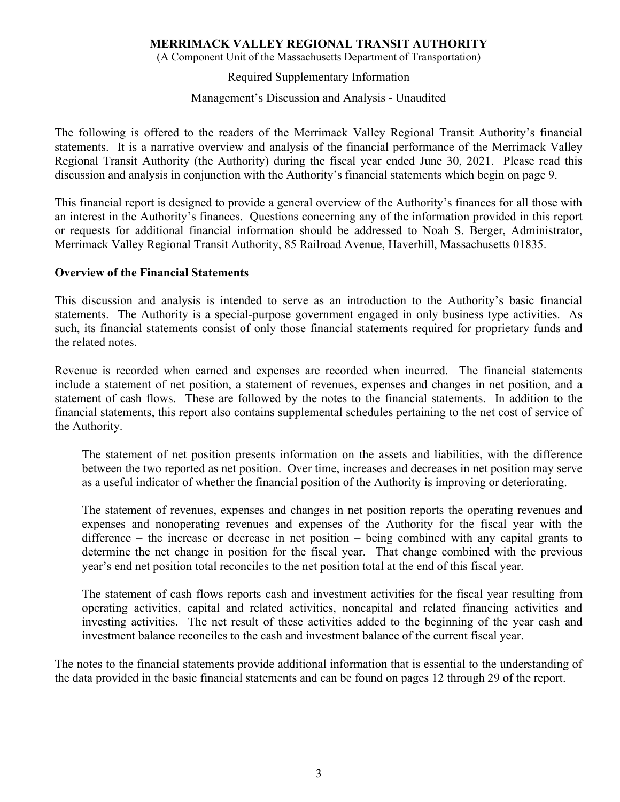(A Component Unit of the Massachusetts Department of Transportation)

Required Supplementary Information

Management's Discussion and Analysis - Unaudited

The following is offered to the readers of the Merrimack Valley Regional Transit Authority's financial statements. It is a narrative overview and analysis of the financial performance of the Merrimack Valley Regional Transit Authority (the Authority) during the fiscal year ended June 30, 2021. Please read this discussion and analysis in conjunction with the Authority's financial statements which begin on page 9.

This financial report is designed to provide a general overview of the Authority's finances for all those with an interest in the Authority's finances. Questions concerning any of the information provided in this report or requests for additional financial information should be addressed to Noah S. Berger, Administrator, Merrimack Valley Regional Transit Authority, 85 Railroad Avenue, Haverhill, Massachusetts 01835.

## Overview of the Financial Statements

This discussion and analysis is intended to serve as an introduction to the Authority's basic financial statements. The Authority is a special-purpose government engaged in only business type activities. As such, its financial statements consist of only those financial statements required for proprietary funds and the related notes.

Revenue is recorded when earned and expenses are recorded when incurred. The financial statements include a statement of net position, a statement of revenues, expenses and changes in net position, and a statement of cash flows. These are followed by the notes to the financial statements. In addition to the financial statements, this report also contains supplemental schedules pertaining to the net cost of service of the Authority.

The statement of net position presents information on the assets and liabilities, with the difference between the two reported as net position. Over time, increases and decreases in net position may serve as a useful indicator of whether the financial position of the Authority is improving or deteriorating.

The statement of revenues, expenses and changes in net position reports the operating revenues and expenses and nonoperating revenues and expenses of the Authority for the fiscal year with the difference – the increase or decrease in net position – being combined with any capital grants to determine the net change in position for the fiscal year. That change combined with the previous year's end net position total reconciles to the net position total at the end of this fiscal year.

The statement of cash flows reports cash and investment activities for the fiscal year resulting from operating activities, capital and related activities, noncapital and related financing activities and investing activities. The net result of these activities added to the beginning of the year cash and investment balance reconciles to the cash and investment balance of the current fiscal year.

The notes to the financial statements provide additional information that is essential to the understanding of the data provided in the basic financial statements and can be found on pages 12 through 29 of the report.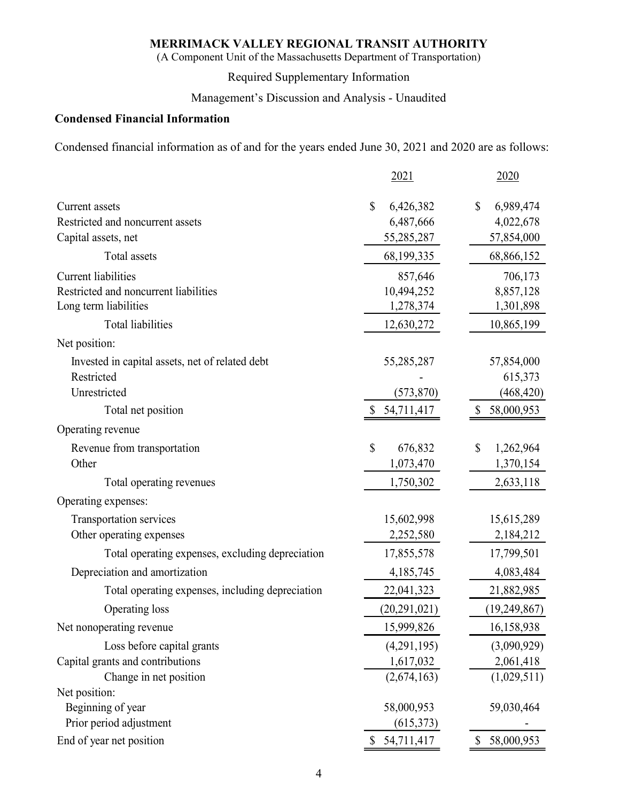## Condensed Financial Information

| (A Component Unit of the Massachusetts Department of Transportation)                                 | <b>MERRIMACK VALLEY REGIONAL TRANSIT AUTHORITY</b> |                           |
|------------------------------------------------------------------------------------------------------|----------------------------------------------------|---------------------------|
| Required Supplementary Information                                                                   |                                                    |                           |
| Management's Discussion and Analysis - Unaudited                                                     |                                                    |                           |
| <b>Condensed Financial Information</b>                                                               |                                                    |                           |
| Condensed financial information as of and for the years ended June 30, 2021 and 2020 are as follows: |                                                    |                           |
|                                                                                                      | 2021                                               | 2020                      |
| Current assets                                                                                       | 6,426,382<br>\$                                    | $\mathbb{S}$<br>6,989,474 |
| Restricted and noncurrent assets                                                                     | 6,487,666                                          | 4,022,678                 |
| Capital assets, net                                                                                  | 55,285,287                                         | 57,854,000                |
| Total assets                                                                                         | 68,199,335                                         | 68,866,152                |
| <b>Current</b> liabilities                                                                           | 857,646                                            | 706,173                   |
| Restricted and noncurrent liabilities                                                                | 10,494,252                                         | 8,857,128                 |
| Long term liabilities                                                                                | 1,278,374                                          | 1,301,898                 |
| <b>Total liabilities</b>                                                                             | 12,630,272                                         | 10,865,199                |
| Net position:                                                                                        |                                                    |                           |
| Invested in capital assets, net of related debt                                                      | 55,285,287                                         | 57,854,000                |
| Restricted<br>Unrestricted                                                                           | (573, 870)                                         | 615,373<br>(468, 420)     |
| Total net position                                                                                   | 54,711,417<br>\$                                   | \$<br>58,000,953          |
| Operating revenue                                                                                    |                                                    |                           |
|                                                                                                      | \$<br>676,832                                      | \$<br>1,262,964           |
| Revenue from transportation<br>Other                                                                 | 1,073,470                                          | 1,370,154                 |
| Total operating revenues                                                                             | 1,750,302                                          | 2,633,118                 |
| Operating expenses:                                                                                  |                                                    |                           |
| Transportation services                                                                              | 15,602,998                                         | 15,615,289                |
| Other operating expenses                                                                             | 2,252,580                                          | 2,184,212                 |
| Total operating expenses, excluding depreciation                                                     | 17,855,578                                         | 17,799,501                |
| Depreciation and amortization                                                                        | 4,185,745                                          | 4,083,484                 |
|                                                                                                      |                                                    |                           |
| Total operating expenses, including depreciation                                                     | 22,041,323                                         | 21,882,985                |
| Operating loss                                                                                       | (20, 291, 021)                                     | (19, 249, 867)            |
| Net nonoperating revenue                                                                             | 15,999,826                                         | 16,158,938                |
| Loss before capital grants                                                                           | (4,291,195)                                        | (3,090,929)               |
| Capital grants and contributions<br>Change in net position                                           | 1,617,032<br>(2,674,163)                           | 2,061,418<br>(1,029,511)  |
| Net position:                                                                                        |                                                    |                           |
| Beginning of year                                                                                    | 58,000,953                                         | 59,030,464                |
| Prior period adjustment                                                                              | (615,373)                                          |                           |
| End of year net position                                                                             | 54,711,417                                         | 58,000,953<br>\$          |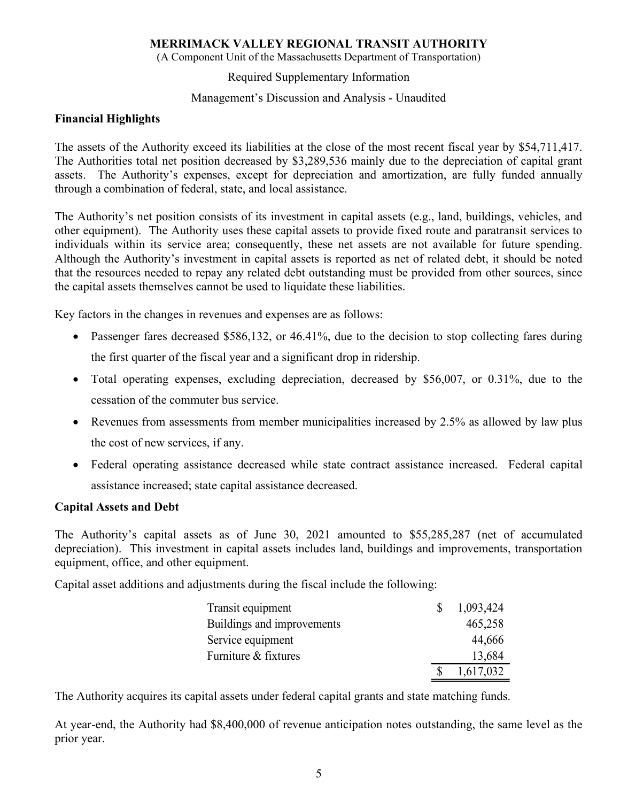(A Component Unit of the Massachusetts Department of Transportation)

## Required Supplementary Information

## Management's Discussion and Analysis - Unaudited

## Financial Highlights

The assets of the Authority exceed its liabilities at the close of the most recent fiscal year by \$54,711,417. The Authorities total net position decreased by \$3,289,536 mainly due to the depreciation of capital grant assets. The Authority's expenses, except for depreciation and amortization, are fully funded annually through a combination of federal, state, and local assistance.

The Authority's net position consists of its investment in capital assets (e.g., land, buildings, vehicles, and other equipment). The Authority uses these capital assets to provide fixed route and paratransit services to individuals within its service area; consequently, these net assets are not available for future spending. Although the Authority's investment in capital assets is reported as net of related debt, it should be noted that the resources needed to repay any related debt outstanding must be provided from other sources, since the capital assets themselves cannot be used to liquidate these liabilities.

Key factors in the changes in revenues and expenses are as follows:

- Passenger fares decreased \$586,132, or 46.41%, due to the decision to stop collecting fares during the first quarter of the fiscal year and a significant drop in ridership.
- Total operating expenses, excluding depreciation, decreased by \$56,007, or 0.31%, due to the cessation of the commuter bus service.
- Revenues from assessments from member municipalities increased by 2.5% as allowed by law plus the cost of new services, if any.
- Federal operating assistance decreased while state contract assistance increased. Federal capital assistance increased; state capital assistance decreased.

## Capital Assets and Debt

The Authority's capital assets as of June 30, 2021 amounted to \$55,285,287 (net of accumulated depreciation). This investment in capital assets includes land, buildings and improvements, transportation equipment, office, and other equipment.

Capital asset additions and adjustments during the fiscal include the following:

| iscal year and a significant drop in ridership.                                                                                                                  |                           |  |
|------------------------------------------------------------------------------------------------------------------------------------------------------------------|---------------------------|--|
|                                                                                                                                                                  |                           |  |
| ses, excluding depreciation, decreased by \$56,007, or 0.31%, due to the                                                                                         |                           |  |
| ter bus service.                                                                                                                                                 |                           |  |
| nents from member municipalities increased by 2.5% as allowed by law plus                                                                                        |                           |  |
| $s$ , if any.                                                                                                                                                    |                           |  |
| stance decreased while state contract assistance increased. Federal capital                                                                                      |                           |  |
| ate capital assistance decreased.                                                                                                                                |                           |  |
|                                                                                                                                                                  |                           |  |
| ts as of June 30, 2021 amounted to \$55,285,287 (net of accumulated<br>t in capital assets includes land, buildings and improvements, transportation<br>uipment. |                           |  |
| istments during the fiscal include the following:                                                                                                                |                           |  |
| Transit equipment                                                                                                                                                | $\mathbb{S}$<br>1,093,424 |  |
| Buildings and improvements                                                                                                                                       | 465,258                   |  |
| Service equipment                                                                                                                                                | 44,666                    |  |
| Furniture & fixtures                                                                                                                                             | 13,684                    |  |
|                                                                                                                                                                  | 1,617,032                 |  |
| tal assets under federal capital grants and state matching funds.                                                                                                |                           |  |
| $\frac{100}{100}$ and $\frac{100}{100}$ of revenue entirepretion notes outstanding the same lavel as the                                                         |                           |  |

The Authority acquires its capital assets under federal capital grants and state matching funds.

At year-end, the Authority had \$8,400,000 of revenue anticipation notes outstanding, the same level as the prior year.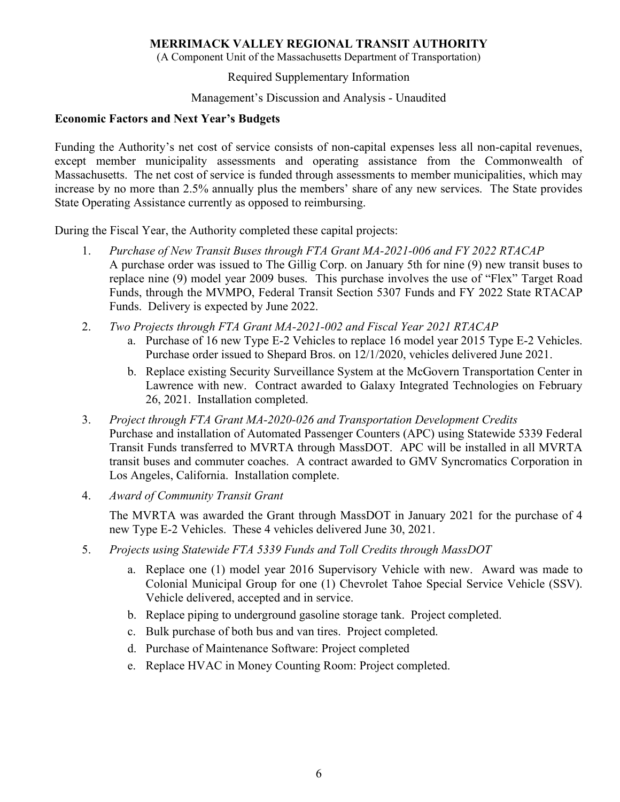(A Component Unit of the Massachusetts Department of Transportation)

## Required Supplementary Information

Management's Discussion and Analysis - Unaudited

## Economic Factors and Next Year's Budgets

Funding the Authority's net cost of service consists of non-capital expenses less all non-capital revenues, except member municipality assessments and operating assistance from the Commonwealth of Massachusetts. The net cost of service is funded through assessments to member municipalities, which may increase by no more than 2.5% annually plus the members' share of any new services. The State provides State Operating Assistance currently as opposed to reimbursing.

During the Fiscal Year, the Authority completed these capital projects:

- 1. Purchase of New Transit Buses through FTA Grant MA-2021-006 and FY 2022 RTACAP A purchase order was issued to The Gillig Corp. on January 5th for nine (9) new transit buses to replace nine (9) model year 2009 buses. This purchase involves the use of "Flex" Target Road Funds, through the MVMPO, Federal Transit Section 5307 Funds and FY 2022 State RTACAP Funds. Delivery is expected by June 2022.
- 2. Two Projects through FTA Grant MA-2021-002 and Fiscal Year 2021 RTACAP
	- a. Purchase of 16 new Type E-2 Vehicles to replace 16 model year 2015 Type E-2 Vehicles. Purchase order issued to Shepard Bros. on 12/1/2020, vehicles delivered June 2021.
	- b. Replace existing Security Surveillance System at the McGovern Transportation Center in Lawrence with new. Contract awarded to Galaxy Integrated Technologies on February 26, 2021. Installation completed.
- 3. Project through FTA Grant MA-2020-026 and Transportation Development Credits Purchase and installation of Automated Passenger Counters (APC) using Statewide 5339 Federal Transit Funds transferred to MVRTA through MassDOT. APC will be installed in all MVRTA transit buses and commuter coaches. A contract awarded to GMV Syncromatics Corporation in Los Angeles, California. Installation complete.
- 4. Award of Community Transit Grant

The MVRTA was awarded the Grant through MassDOT in January 2021 for the purchase of 4 new Type E-2 Vehicles. These 4 vehicles delivered June 30, 2021.

- 5. Projects using Statewide FTA 5339 Funds and Toll Credits through MassDOT
	- a. Replace one (1) model year 2016 Supervisory Vehicle with new. Award was made to Colonial Municipal Group for one (1) Chevrolet Tahoe Special Service Vehicle (SSV). Vehicle delivered, accepted and in service.
	- b. Replace piping to underground gasoline storage tank. Project completed.
	- c. Bulk purchase of both bus and van tires. Project completed.
	- d. Purchase of Maintenance Software: Project completed
	- e. Replace HVAC in Money Counting Room: Project completed.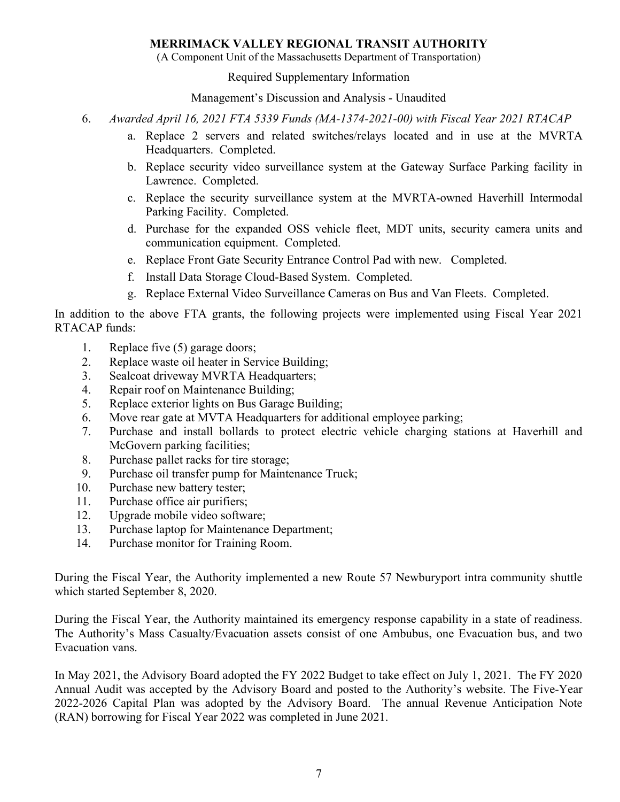(A Component Unit of the Massachusetts Department of Transportation)

## Required Supplementary Information

Management's Discussion and Analysis - Unaudited

- 6. Awarded April 16, 2021 FTA 5339 Funds (MA-1374-2021-00) with Fiscal Year 2021 RTACAP
	- a. Replace 2 servers and related switches/relays located and in use at the MVRTA Headquarters. Completed.
	- b. Replace security video surveillance system at the Gateway Surface Parking facility in Lawrence. Completed.
	- c. Replace the security surveillance system at the MVRTA-owned Haverhill Intermodal Parking Facility. Completed.
	- d. Purchase for the expanded OSS vehicle fleet, MDT units, security camera units and communication equipment. Completed.
	- e. Replace Front Gate Security Entrance Control Pad with new. Completed.
	- f. Install Data Storage Cloud-Based System. Completed.
	- g. Replace External Video Surveillance Cameras on Bus and Van Fleets. Completed.

In addition to the above FTA grants, the following projects were implemented using Fiscal Year 2021 RTACAP funds:

- 1. Replace five (5) garage doors;
- 2. Replace waste oil heater in Service Building;
- 3. Sealcoat driveway MVRTA Headquarters;
- 4. Repair roof on Maintenance Building;
- 5. Replace exterior lights on Bus Garage Building;
- 6. Move rear gate at MVTA Headquarters for additional employee parking;
- 7. Purchase and install bollards to protect electric vehicle charging stations at Haverhill and McGovern parking facilities;
- 8. Purchase pallet racks for tire storage;
- 9. Purchase oil transfer pump for Maintenance Truck;
- 10. Purchase new battery tester;
- 11. Purchase office air purifiers;
- 12. Upgrade mobile video software;
- 13. Purchase laptop for Maintenance Department;
- 14. Purchase monitor for Training Room.

During the Fiscal Year, the Authority implemented a new Route 57 Newburyport intra community shuttle which started September 8, 2020.

During the Fiscal Year, the Authority maintained its emergency response capability in a state of readiness. The Authority's Mass Casualty/Evacuation assets consist of one Ambubus, one Evacuation bus, and two Evacuation vans.

In May 2021, the Advisory Board adopted the FY 2022 Budget to take effect on July 1, 2021. The FY 2020 Annual Audit was accepted by the Advisory Board and posted to the Authority's website. The Five-Year 2022-2026 Capital Plan was adopted by the Advisory Board. The annual Revenue Anticipation Note (RAN) borrowing for Fiscal Year 2022 was completed in June 2021.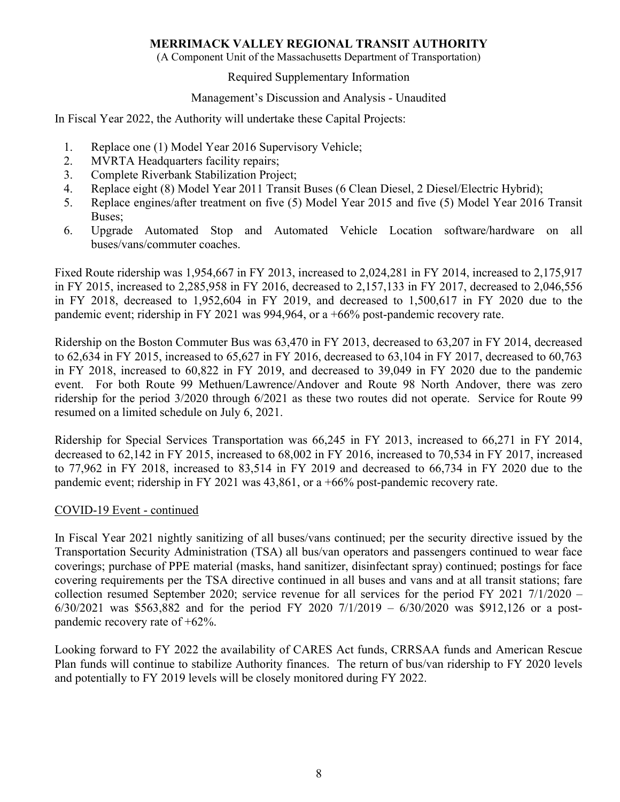(A Component Unit of the Massachusetts Department of Transportation)

## Required Supplementary Information

## Management's Discussion and Analysis - Unaudited

In Fiscal Year 2022, the Authority will undertake these Capital Projects:

- 1. Replace one (1) Model Year 2016 Supervisory Vehicle;
- 2. MVRTA Headquarters facility repairs;
- 3. Complete Riverbank Stabilization Project;
- 4. Replace eight (8) Model Year 2011 Transit Buses (6 Clean Diesel, 2 Diesel/Electric Hybrid);
- 5. Replace engines/after treatment on five (5) Model Year 2015 and five (5) Model Year 2016 Transit Buses;
- 6. Upgrade Automated Stop and Automated Vehicle Location software/hardware on all buses/vans/commuter coaches.

Fixed Route ridership was 1,954,667 in FY 2013, increased to 2,024,281 in FY 2014, increased to 2,175,917 in FY 2015, increased to 2,285,958 in FY 2016, decreased to 2,157,133 in FY 2017, decreased to 2,046,556 in FY 2018, decreased to 1,952,604 in FY 2019, and decreased to 1,500,617 in FY 2020 due to the pandemic event; ridership in FY 2021 was 994,964, or a +66% post-pandemic recovery rate.

Ridership on the Boston Commuter Bus was 63,470 in FY 2013, decreased to 63,207 in FY 2014, decreased to 62,634 in FY 2015, increased to 65,627 in FY 2016, decreased to 63,104 in FY 2017, decreased to 60,763 in FY 2018, increased to 60,822 in FY 2019, and decreased to 39,049 in FY 2020 due to the pandemic event. For both Route 99 Methuen/Lawrence/Andover and Route 98 North Andover, there was zero ridership for the period 3/2020 through 6/2021 as these two routes did not operate. Service for Route 99 resumed on a limited schedule on July 6, 2021.

Ridership for Special Services Transportation was 66,245 in FY 2013, increased to 66,271 in FY 2014, decreased to 62,142 in FY 2015, increased to 68,002 in FY 2016, increased to 70,534 in FY 2017, increased to 77,962 in FY 2018, increased to 83,514 in FY 2019 and decreased to 66,734 in FY 2020 due to the pandemic event; ridership in FY 2021 was 43,861, or a +66% post-pandemic recovery rate.

## COVID-19 Event - continued

In Fiscal Year 2021 nightly sanitizing of all buses/vans continued; per the security directive issued by the Transportation Security Administration (TSA) all bus/van operators and passengers continued to wear face coverings; purchase of PPE material (masks, hand sanitizer, disinfectant spray) continued; postings for face covering requirements per the TSA directive continued in all buses and vans and at all transit stations; fare collection resumed September 2020; service revenue for all services for the period FY 2021 7/1/2020 – 6/30/2021 was \$563,882 and for the period FY 2020 7/1/2019 – 6/30/2020 was \$912,126 or a postpandemic recovery rate of +62%.

Looking forward to FY 2022 the availability of CARES Act funds, CRRSAA funds and American Rescue Plan funds will continue to stabilize Authority finances. The return of bus/van ridership to FY 2020 levels and potentially to FY 2019 levels will be closely monitored during FY 2022.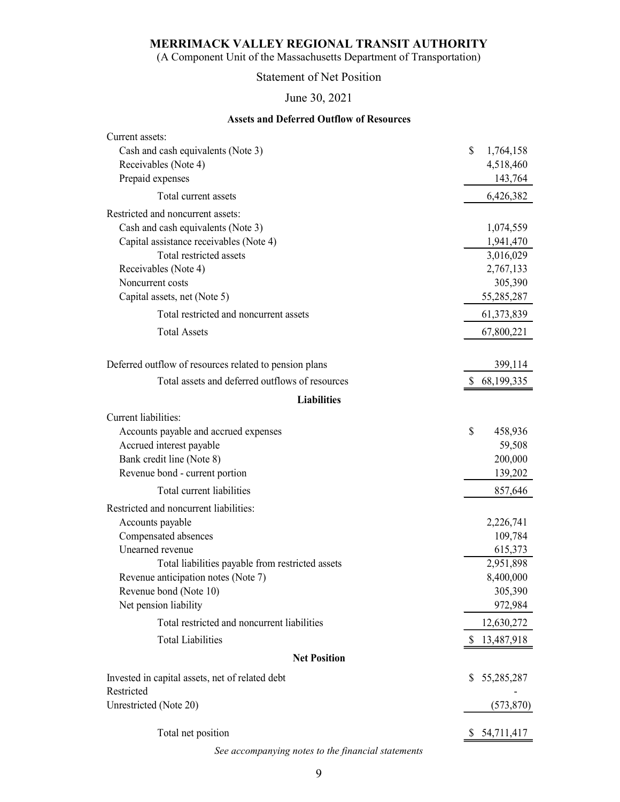## Assets and Deferred Outflow of Resources

| (A Component Unit of the Massachusetts Department of Transportation) |                            |
|----------------------------------------------------------------------|----------------------------|
|                                                                      |                            |
| <b>Statement of Net Position</b>                                     |                            |
| June 30, 2021                                                        |                            |
| <b>Assets and Deferred Outflow of Resources</b>                      |                            |
| Current assets:                                                      |                            |
| Cash and cash equivalents (Note 3)                                   | \$.<br>1,764,158           |
| Receivables (Note 4)<br>Prepaid expenses                             | 4,518,460<br>143,764       |
| Total current assets                                                 | 6,426,382                  |
| Restricted and noncurrent assets:                                    |                            |
| Cash and cash equivalents (Note 3)                                   | 1,074,559                  |
| Capital assistance receivables (Note 4)                              | 1,941,470                  |
| Total restricted assets                                              | 3,016,029                  |
| Receivables (Note 4)                                                 | 2,767,133                  |
| Noncurrent costs                                                     | 305,390                    |
| Capital assets, net (Note 5)                                         | 55,285,287                 |
| Total restricted and noncurrent assets                               | 61,373,839                 |
| <b>Total Assets</b>                                                  | 67,800,221                 |
| Deferred outflow of resources related to pension plans               | 399,114                    |
| Total assets and deferred outflows of resources                      | 68,199,335<br><sup>2</sup> |
| <b>Liabilities</b>                                                   |                            |
|                                                                      |                            |
| Current liabilities:<br>Accounts payable and accrued expenses        | \$<br>458,936              |
| Accrued interest payable                                             | 59,508                     |
| Bank credit line (Note 8)                                            | 200,000                    |
| Revenue bond - current portion                                       | 139,202                    |
| Total current liabilities                                            | 857,646                    |
| Restricted and noncurrent liabilities:                               |                            |
| Accounts payable                                                     | 2,226,741                  |
| Compensated absences                                                 | 109,784                    |
| Unearned revenue                                                     | 615,373                    |
| Total liabilities payable from restricted assets                     | 2,951,898                  |
| Revenue anticipation notes (Note 7)<br>Revenue bond (Note 10)        | 8,400,000<br>305,390       |
| Net pension liability                                                | 972,984                    |
| Total restricted and noncurrent liabilities                          | 12,630,272                 |
| <b>Total Liabilities</b>                                             | \$13,487,918               |
| <b>Net Position</b>                                                  |                            |
|                                                                      |                            |
| Invested in capital assets, net of related debt<br>Restricted        | \$55,285,287               |
| Unrestricted (Note 20)                                               | (573, 870)                 |
|                                                                      |                            |
| Total net position                                                   | 54,711,417                 |
| See accompanying notes to the financial statements                   |                            |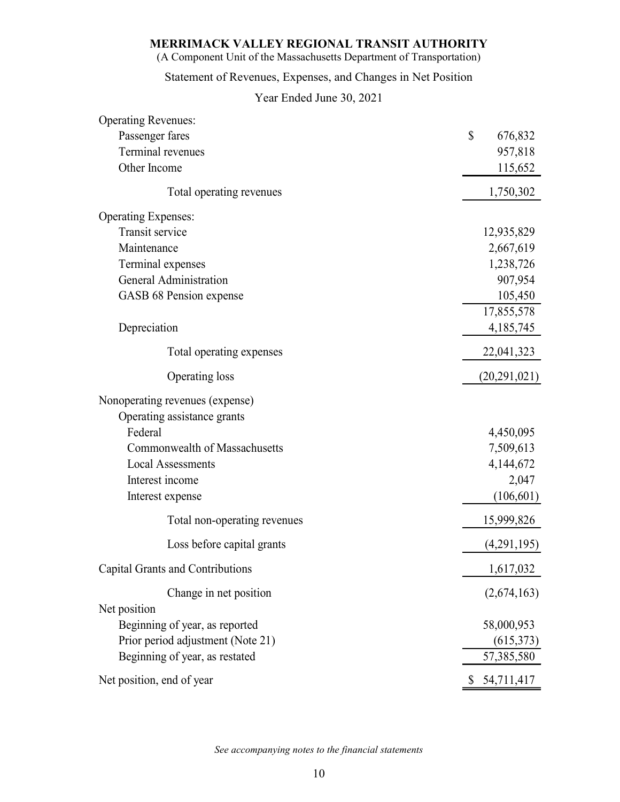## (A Component Unit of the Massachusetts Department of Transportation)

## Statement of Revenues, Expenses, and Changes in Net Position

## Year Ended June 30, 2021

|                                                                     | (A Component Unit of the Massachusetts Department of Transportation) |
|---------------------------------------------------------------------|----------------------------------------------------------------------|
| Statement of Revenues, Expenses, and Changes in Net Position        |                                                                      |
| Year Ended June 30, 2021                                            |                                                                      |
| <b>Operating Revenues:</b>                                          |                                                                      |
| Passenger fares                                                     | $\mathbb{S}$<br>676,832                                              |
| Terminal revenues                                                   | 957,818                                                              |
| Other Income                                                        | 115,652                                                              |
| Total operating revenues                                            | 1,750,302                                                            |
| <b>Operating Expenses:</b>                                          |                                                                      |
| Transit service                                                     | 12,935,829                                                           |
| Maintenance                                                         | 2,667,619                                                            |
| Terminal expenses                                                   | 1,238,726                                                            |
| General Administration                                              | 907,954                                                              |
| GASB 68 Pension expense                                             | 105,450                                                              |
| Depreciation                                                        | 17,855,578                                                           |
|                                                                     | 4,185,745                                                            |
| Total operating expenses                                            | 22,041,323                                                           |
| Operating loss                                                      | (20, 291, 021)                                                       |
| Nonoperating revenues (expense)                                     |                                                                      |
| Operating assistance grants                                         |                                                                      |
| Federal                                                             | 4,450,095                                                            |
| Commonwealth of Massachusetts                                       | 7,509,613                                                            |
| <b>Local Assessments</b>                                            | 4,144,672                                                            |
| Interest income                                                     | 2,047<br>(106, 601)                                                  |
| Interest expense                                                    |                                                                      |
| Total non-operating revenues                                        | 15,999,826                                                           |
| Loss before capital grants                                          | (4,291,195)                                                          |
| <b>Capital Grants and Contributions</b>                             | 1,617,032                                                            |
| Change in net position                                              | (2,674,163)                                                          |
| Net position                                                        |                                                                      |
| Beginning of year, as reported                                      | 58,000,953                                                           |
| Prior period adjustment (Note 21)<br>Beginning of year, as restated | (615,373)<br>57,385,580                                              |
|                                                                     |                                                                      |
| Net position, end of year                                           | 54,711,417                                                           |

See accompanying notes to the financial statements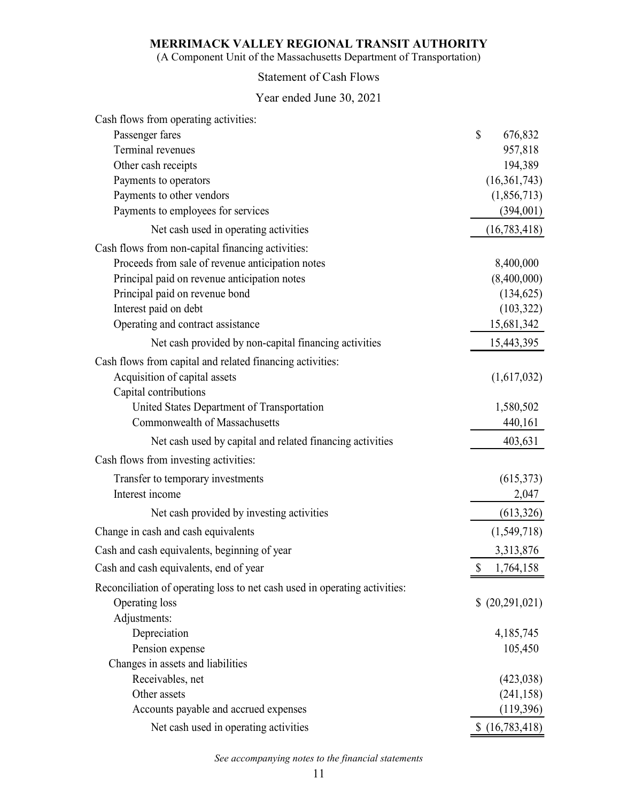## (A Component Unit of the Massachusetts Department of Transportation)

## Statement of Cash Flows

## Year ended June 30, 2021

| <b>MERRIMACK VALLEY REGIONAL TRANSIT AUTHORITY</b><br>(A Component Unit of the Massachusetts Department of Transportation) |                         |
|----------------------------------------------------------------------------------------------------------------------------|-------------------------|
|                                                                                                                            |                         |
| <b>Statement of Cash Flows</b>                                                                                             |                         |
| Year ended June 30, 2021                                                                                                   |                         |
| Cash flows from operating activities:                                                                                      |                         |
| Passenger fares                                                                                                            | $\mathbb{S}$<br>676,832 |
| Terminal revenues                                                                                                          | 957,818                 |
| Other cash receipts                                                                                                        | 194,389                 |
| Payments to operators                                                                                                      | (16,361,743)            |
| Payments to other vendors                                                                                                  | (1,856,713)             |
| Payments to employees for services                                                                                         | (394,001)               |
| Net cash used in operating activities                                                                                      | (16, 783, 418)          |
| Cash flows from non-capital financing activities:                                                                          |                         |
| Proceeds from sale of revenue anticipation notes                                                                           | 8,400,000               |
| Principal paid on revenue anticipation notes                                                                               | (8,400,000)             |
| Principal paid on revenue bond                                                                                             | (134, 625)              |
| Interest paid on debt                                                                                                      | (103, 322)              |
| Operating and contract assistance                                                                                          | 15,681,342              |
| Net cash provided by non-capital financing activities                                                                      | 15,443,395              |
| Cash flows from capital and related financing activities:                                                                  |                         |
| Acquisition of capital assets                                                                                              | (1,617,032)             |
| Capital contributions                                                                                                      |                         |
| United States Department of Transportation<br>Commonwealth of Massachusetts                                                | 1,580,502               |
|                                                                                                                            | 440,161                 |
| Net cash used by capital and related financing activities                                                                  | 403,631                 |
| Cash flows from investing activities:                                                                                      |                         |
| Transfer to temporary investments                                                                                          | (615,373)               |
| Interest income                                                                                                            | 2,047                   |
| Net cash provided by investing activities                                                                                  | (613, 326)              |
| Change in cash and cash equivalents                                                                                        | (1,549,718)             |
| Cash and cash equivalents, beginning of year                                                                               | 3,313,876               |
| Cash and cash equivalents, end of year                                                                                     | 1,764,158               |
| Reconciliation of operating loss to net cash used in operating activities:                                                 |                         |
| Operating loss                                                                                                             | \$ (20,291,021)         |
| Adjustments:                                                                                                               |                         |
| Depreciation                                                                                                               | 4,185,745               |
| Pension expense                                                                                                            | 105,450                 |
| Changes in assets and liabilities                                                                                          |                         |
| Receivables, net                                                                                                           | (423, 038)              |
| Other assets                                                                                                               | (241, 158)              |
| Accounts payable and accrued expenses                                                                                      | (119,396)               |
| Net cash used in operating activities                                                                                      | (16,783,418)            |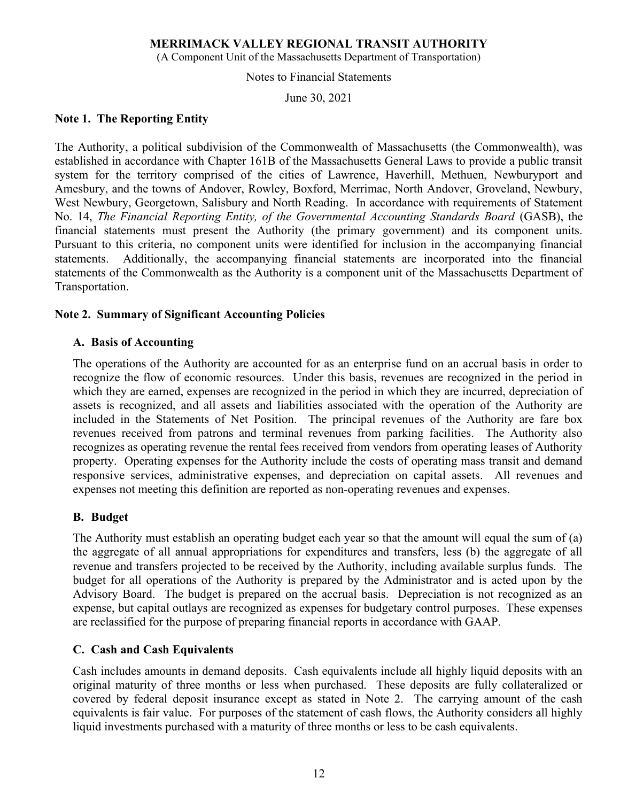(A Component Unit of the Massachusetts Department of Transportation)

Notes to Financial Statements

June 30, 2021

### Note 1. The Reporting Entity

The Authority, a political subdivision of the Commonwealth of Massachusetts (the Commonwealth), was established in accordance with Chapter 161B of the Massachusetts General Laws to provide a public transit system for the territory comprised of the cities of Lawrence, Haverhill, Methuen, Newburyport and Amesbury, and the towns of Andover, Rowley, Boxford, Merrimac, North Andover, Groveland, Newbury, West Newbury, Georgetown, Salisbury and North Reading. In accordance with requirements of Statement No. 14, The Financial Reporting Entity, of the Governmental Accounting Standards Board (GASB), the financial statements must present the Authority (the primary government) and its component units. Pursuant to this criteria, no component units were identified for inclusion in the accompanying financial statements. Additionally, the accompanying financial statements are incorporated into the financial statements of the Commonwealth as the Authority is a component unit of the Massachusetts Department of Transportation.

## Note 2. Summary of Significant Accounting Policies

## A. Basis of Accounting

The operations of the Authority are accounted for as an enterprise fund on an accrual basis in order to recognize the flow of economic resources. Under this basis, revenues are recognized in the period in which they are earned, expenses are recognized in the period in which they are incurred, depreciation of assets is recognized, and all assets and liabilities associated with the operation of the Authority are included in the Statements of Net Position. The principal revenues of the Authority are fare box revenues received from patrons and terminal revenues from parking facilities. The Authority also recognizes as operating revenue the rental fees received from vendors from operating leases of Authority property. Operating expenses for the Authority include the costs of operating mass transit and demand responsive services, administrative expenses, and depreciation on capital assets. All revenues and expenses not meeting this definition are reported as non-operating revenues and expenses.

#### B. Budget

The Authority must establish an operating budget each year so that the amount will equal the sum of (a) the aggregate of all annual appropriations for expenditures and transfers, less (b) the aggregate of all revenue and transfers projected to be received by the Authority, including available surplus funds. The budget for all operations of the Authority is prepared by the Administrator and is acted upon by the Advisory Board. The budget is prepared on the accrual basis. Depreciation is not recognized as an expense, but capital outlays are recognized as expenses for budgetary control purposes. These expenses are reclassified for the purpose of preparing financial reports in accordance with GAAP.

## C. Cash and Cash Equivalents

Cash includes amounts in demand deposits. Cash equivalents include all highly liquid deposits with an original maturity of three months or less when purchased. These deposits are fully collateralized or covered by federal deposit insurance except as stated in Note 2. The carrying amount of the cash equivalents is fair value. For purposes of the statement of cash flows, the Authority considers all highly liquid investments purchased with a maturity of three months or less to be cash equivalents.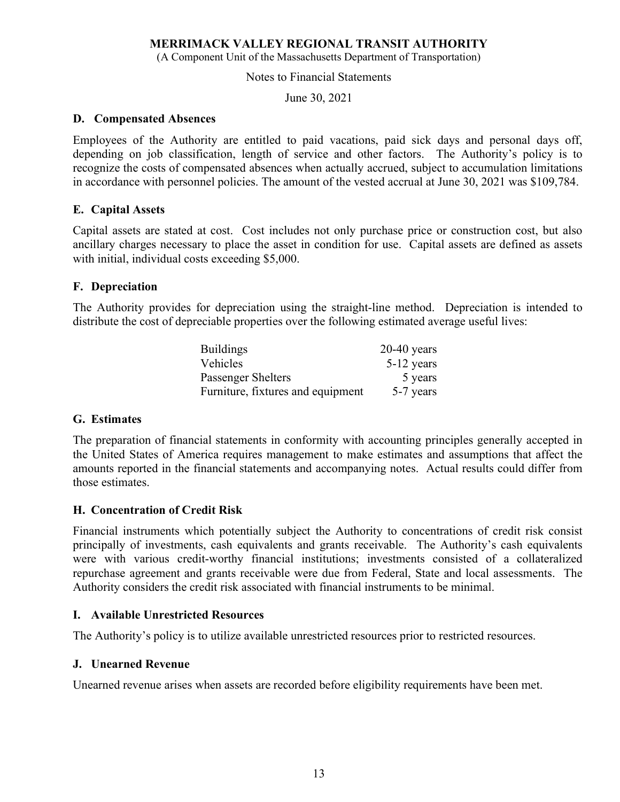(A Component Unit of the Massachusetts Department of Transportation)

#### Notes to Financial Statements

June 30, 2021

## D. Compensated Absences

Employees of the Authority are entitled to paid vacations, paid sick days and personal days off, depending on job classification, length of service and other factors. The Authority's policy is to recognize the costs of compensated absences when actually accrued, subject to accumulation limitations in accordance with personnel policies. The amount of the vested accrual at June 30, 2021 was \$109,784.

## E. Capital Assets

Capital assets are stated at cost. Cost includes not only purchase price or construction cost, but also ancillary charges necessary to place the asset in condition for use. Capital assets are defined as assets with initial, individual costs exceeding \$5,000.

## F. Depreciation

The Authority provides for depreciation using the straight-line method. Depreciation is intended to distribute the cost of depreciable properties over the following estimated average useful lives:

| <b>Buildings</b>                  | $20-40$ years |
|-----------------------------------|---------------|
| <b>Vehicles</b>                   | $5-12$ years  |
| Passenger Shelters                | 5 years       |
| Furniture, fixtures and equipment | 5-7 years     |

## G. Estimates

The preparation of financial statements in conformity with accounting principles generally accepted in the United States of America requires management to make estimates and assumptions that affect the amounts reported in the financial statements and accompanying notes. Actual results could differ from those estimates.

## H. Concentration of Credit Risk

Financial instruments which potentially subject the Authority to concentrations of credit risk consist principally of investments, cash equivalents and grants receivable. The Authority's cash equivalents were with various credit-worthy financial institutions; investments consisted of a collateralized repurchase agreement and grants receivable were due from Federal, State and local assessments. The Authority considers the credit risk associated with financial instruments to be minimal.

## I. Available Unrestricted Resources

The Authority's policy is to utilize available unrestricted resources prior to restricted resources.

## J. Unearned Revenue

Unearned revenue arises when assets are recorded before eligibility requirements have been met.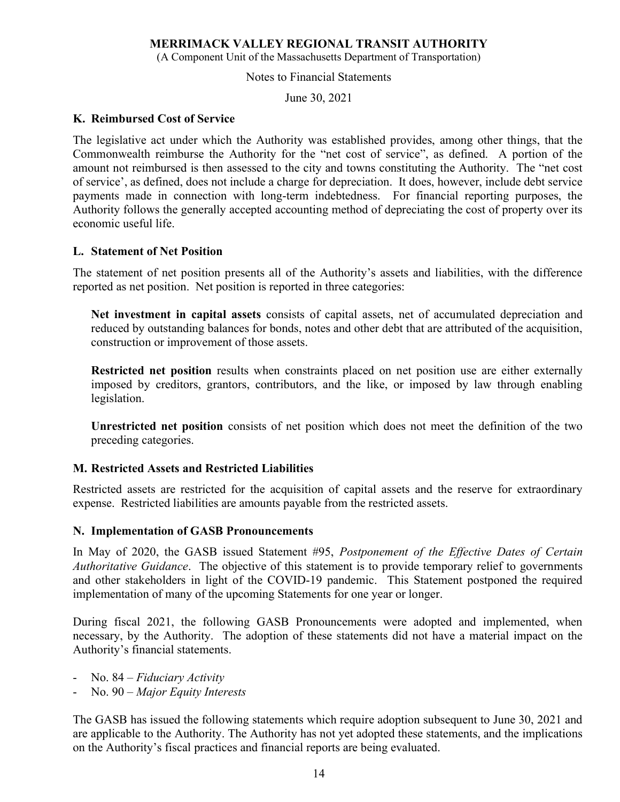(A Component Unit of the Massachusetts Department of Transportation)

Notes to Financial Statements

June 30, 2021

## K. Reimbursed Cost of Service

The legislative act under which the Authority was established provides, among other things, that the Commonwealth reimburse the Authority for the "net cost of service", as defined. A portion of the amount not reimbursed is then assessed to the city and towns constituting the Authority. The "net cost of service', as defined, does not include a charge for depreciation. It does, however, include debt service payments made in connection with long-term indebtedness. For financial reporting purposes, the Authority follows the generally accepted accounting method of depreciating the cost of property over its economic useful life.

## L. Statement of Net Position

The statement of net position presents all of the Authority's assets and liabilities, with the difference reported as net position. Net position is reported in three categories:

Net investment in capital assets consists of capital assets, net of accumulated depreciation and reduced by outstanding balances for bonds, notes and other debt that are attributed of the acquisition, construction or improvement of those assets.

Restricted net position results when constraints placed on net position use are either externally imposed by creditors, grantors, contributors, and the like, or imposed by law through enabling legislation.

Unrestricted net position consists of net position which does not meet the definition of the two preceding categories.

## M. Restricted Assets and Restricted Liabilities

Restricted assets are restricted for the acquisition of capital assets and the reserve for extraordinary expense. Restricted liabilities are amounts payable from the restricted assets.

## N. Implementation of GASB Pronouncements

In May of 2020, the GASB issued Statement #95, Postponement of the Effective Dates of Certain Authoritative Guidance. The objective of this statement is to provide temporary relief to governments and other stakeholders in light of the COVID-19 pandemic. This Statement postponed the required implementation of many of the upcoming Statements for one year or longer.

During fiscal 2021, the following GASB Pronouncements were adopted and implemented, when necessary, by the Authority. The adoption of these statements did not have a material impact on the Authority's financial statements.

- No.  $84$  Fiduciary Activity
- No.  $90 Major$  Equity Interests

The GASB has issued the following statements which require adoption subsequent to June 30, 2021 and are applicable to the Authority. The Authority has not yet adopted these statements, and the implications on the Authority's fiscal practices and financial reports are being evaluated.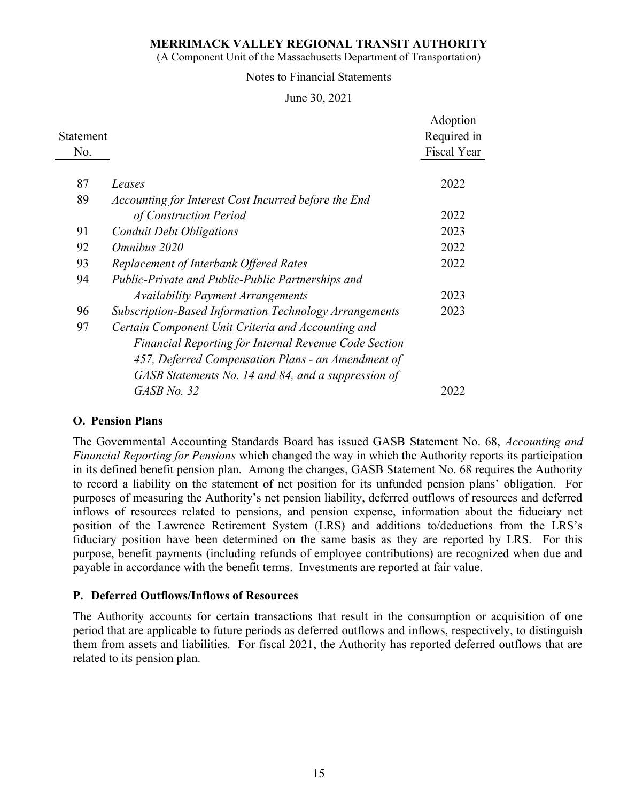#### Notes to Financial Statements

#### June 30, 2021

|           | <b>MERRIMACK VALLEY REGIONAL TRANSIT AUTHORITY</b>                                                           |             |
|-----------|--------------------------------------------------------------------------------------------------------------|-------------|
|           | (A Component Unit of the Massachusetts Department of Transportation)<br><b>Notes to Financial Statements</b> |             |
|           |                                                                                                              |             |
|           | June 30, 2021                                                                                                |             |
|           |                                                                                                              | Adoption    |
| Statement |                                                                                                              | Required in |
| No.       |                                                                                                              | Fiscal Year |
| 87        | Leases                                                                                                       | 2022        |
| 89        | Accounting for Interest Cost Incurred before the End                                                         |             |
|           | of Construction Period                                                                                       | 2022        |
| 91        | <b>Conduit Debt Obligations</b>                                                                              | 2023        |
| 92        | Omnibus 2020                                                                                                 | 2022        |
| 93        | Replacement of Interbank Offered Rates                                                                       | 2022        |
| 94        | Public-Private and Public-Public Partnerships and                                                            |             |
|           | <b>Availability Payment Arrangements</b>                                                                     | 2023        |
| 96        | Subscription-Based Information Technology Arrangements                                                       | 2023        |
| 97        | Certain Component Unit Criteria and Accounting and                                                           |             |
|           | Financial Reporting for Internal Revenue Code Section                                                        |             |
|           | 457, Deferred Compensation Plans - an Amendment of                                                           |             |
|           | GASB Statements No. 14 and 84, and a suppression of                                                          |             |
|           | GASB No. 32                                                                                                  | 2022        |

## O. Pension Plans

The Governmental Accounting Standards Board has issued GASB Statement No. 68, Accounting and Financial Reporting for Pensions which changed the way in which the Authority reports its participation in its defined benefit pension plan. Among the changes, GASB Statement No. 68 requires the Authority to record a liability on the statement of net position for its unfunded pension plans' obligation. For purposes of measuring the Authority's net pension liability, deferred outflows of resources and deferred inflows of resources related to pensions, and pension expense, information about the fiduciary net position of the Lawrence Retirement System (LRS) and additions to/deductions from the LRS's fiduciary position have been determined on the same basis as they are reported by LRS. For this purpose, benefit payments (including refunds of employee contributions) are recognized when due and payable in accordance with the benefit terms. Investments are reported at fair value.

## P. Deferred Outflows/Inflows of Resources

The Authority accounts for certain transactions that result in the consumption or acquisition of one period that are applicable to future periods as deferred outflows and inflows, respectively, to distinguish them from assets and liabilities. For fiscal 2021, the Authority has reported deferred outflows that are related to its pension plan.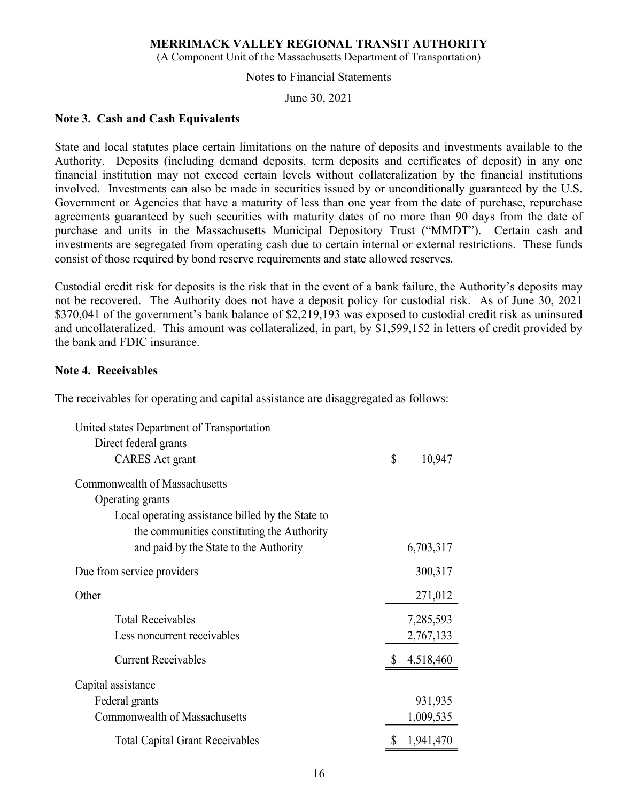(A Component Unit of the Massachusetts Department of Transportation)

#### Notes to Financial Statements

June 30, 2021

#### Note 3. Cash and Cash Equivalents

State and local statutes place certain limitations on the nature of deposits and investments available to the Authority. Deposits (including demand deposits, term deposits and certificates of deposit) in any one financial institution may not exceed certain levels without collateralization by the financial institutions involved. Investments can also be made in securities issued by or unconditionally guaranteed by the U.S. Government or Agencies that have a maturity of less than one year from the date of purchase, repurchase agreements guaranteed by such securities with maturity dates of no more than 90 days from the date of purchase and units in the Massachusetts Municipal Depository Trust ("MMDT"). Certain cash and investments are segregated from operating cash due to certain internal or external restrictions. These funds consist of those required by bond reserve requirements and state allowed reserves.

### Note 4. Receivables

| vernment or Agencies that have a maturity of less than one year from the date of purchase, repurchase<br>eements guaranteed by such securities with maturity dates of no more than 90 days from the date of<br>chase and units in the Massachusetts Municipal Depository Trust ("MMDT"). Certain cash and<br>estments are segregated from operating cash due to certain internal or external restrictions. These funds<br>usist of those required by bond reserve requirements and state allowed reserves. |                        |  |
|------------------------------------------------------------------------------------------------------------------------------------------------------------------------------------------------------------------------------------------------------------------------------------------------------------------------------------------------------------------------------------------------------------------------------------------------------------------------------------------------------------|------------------------|--|
| stodial credit risk for deposits is the risk that in the event of a bank failure, the Authority's deposits may<br>be recovered. The Authority does not have a deposit policy for custodial risk. As of June 30, 2021<br>70,041 of the government's bank balance of \$2,219,193 was exposed to custodial credit risk as uninsured<br>l uncollateralized. This amount was collateralized, in part, by \$1,599,152 in letters of credit provided by<br>bank and FDIC insurance.                               |                        |  |
| te 4. Receivables                                                                                                                                                                                                                                                                                                                                                                                                                                                                                          |                        |  |
| e receivables for operating and capital assistance are disaggregated as follows:                                                                                                                                                                                                                                                                                                                                                                                                                           |                        |  |
| United states Department of Transportation<br>Direct federal grants<br><b>CARES</b> Act grant                                                                                                                                                                                                                                                                                                                                                                                                              | \$<br>10,947           |  |
| Commonwealth of Massachusetts<br>Operating grants<br>Local operating assistance billed by the State to<br>the communities constituting the Authority<br>and paid by the State to the Authority                                                                                                                                                                                                                                                                                                             | 6,703,317              |  |
| Due from service providers                                                                                                                                                                                                                                                                                                                                                                                                                                                                                 | 300,317                |  |
| Other                                                                                                                                                                                                                                                                                                                                                                                                                                                                                                      | 271,012                |  |
| <b>Total Receivables</b><br>Less noncurrent receivables                                                                                                                                                                                                                                                                                                                                                                                                                                                    | 7,285,593<br>2,767,133 |  |
| <b>Current Receivables</b>                                                                                                                                                                                                                                                                                                                                                                                                                                                                                 | 4,518,460              |  |
| Capital assistance<br>Federal grants<br>Commonwealth of Massachusetts                                                                                                                                                                                                                                                                                                                                                                                                                                      | 931,935<br>1,009,535   |  |
| <b>Total Capital Grant Receivables</b>                                                                                                                                                                                                                                                                                                                                                                                                                                                                     | 1,941,470              |  |
| 16                                                                                                                                                                                                                                                                                                                                                                                                                                                                                                         |                        |  |
|                                                                                                                                                                                                                                                                                                                                                                                                                                                                                                            |                        |  |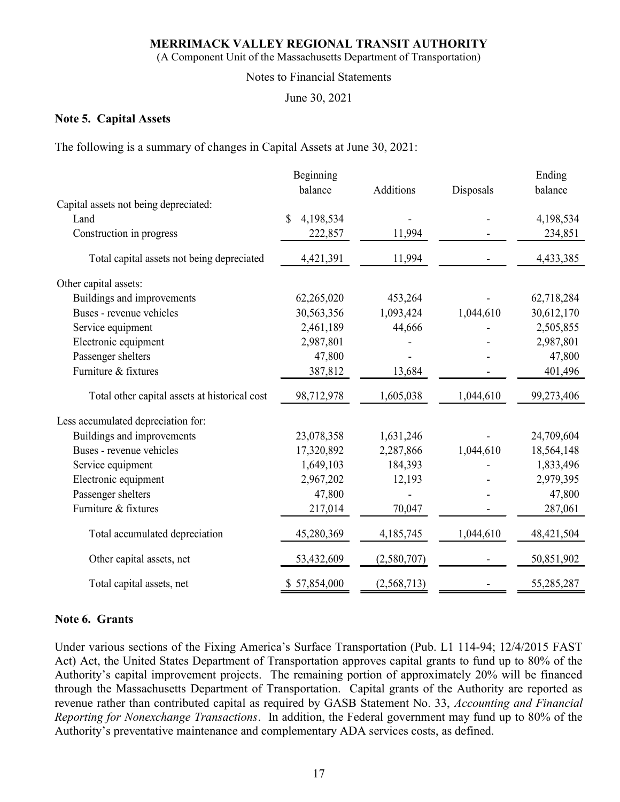#### Notes to Financial Statements

### Note 5. Capital Assets

|                                                                           |                               | (A Component Unit of the Massachusetts Department of Transportation) |                |            |
|---------------------------------------------------------------------------|-------------------------------|----------------------------------------------------------------------|----------------|------------|
|                                                                           | Notes to Financial Statements |                                                                      |                |            |
|                                                                           | June 30, 2021                 |                                                                      |                |            |
| <b>Note 5. Capital Assets</b>                                             |                               |                                                                      |                |            |
| The following is a summary of changes in Capital Assets at June 30, 2021: |                               |                                                                      |                |            |
|                                                                           | Beginning                     |                                                                      |                | Ending     |
| Capital assets not being depreciated:                                     | balance                       | Additions                                                            | Disposals      | balance    |
| Land                                                                      | \$<br>4,198,534               |                                                                      |                | 4,198,534  |
| Construction in progress                                                  | 222,857                       | 11,994                                                               |                | 234,851    |
| Total capital assets not being depreciated                                | 4,421,391                     | 11,994                                                               |                | 4,433,385  |
| Other capital assets:                                                     |                               |                                                                      |                |            |
| Buildings and improvements                                                | 62,265,020                    | 453,264                                                              |                | 62,718,284 |
| Buses - revenue vehicles                                                  | 30,563,356                    | 1,093,424                                                            | 1,044,610      | 30,612,170 |
| Service equipment                                                         | 2,461,189                     | 44,666                                                               |                | 2,505,855  |
| Electronic equipment                                                      | 2,987,801                     |                                                                      |                | 2,987,801  |
| Passenger shelters                                                        | 47,800                        |                                                                      |                | 47,800     |
| Furniture & fixtures                                                      | 387,812                       | 13,684                                                               |                | 401,496    |
| Total other capital assets at historical cost                             | 98,712,978                    | 1,605,038                                                            | 1,044,610      | 99,273,406 |
| Less accumulated depreciation for:                                        |                               |                                                                      |                |            |
| Buildings and improvements                                                | 23,078,358                    | 1,631,246                                                            |                | 24,709,604 |
| Buses - revenue vehicles                                                  | 17,320,892                    | 2,287,866                                                            | 1,044,610      | 18,564,148 |
| Service equipment                                                         | 1,649,103                     | 184,393                                                              |                | 1,833,496  |
| Electronic equipment                                                      | 2,967,202                     | 12,193                                                               |                | 2,979,395  |
| Passenger shelters                                                        | 47,800                        |                                                                      |                | 47,800     |
| Furniture & fixtures                                                      | 217,014                       | 70,047                                                               |                | 287,061    |
| Total accumulated depreciation                                            | 45,280,369                    | 4,185,745                                                            | 1,044,610      | 48,421,504 |
| Other capital assets, net                                                 | 53,432,609                    | (2,580,707)                                                          | $\blacksquare$ | 50,851,902 |
| Total capital assets, net                                                 | \$57,854,000                  | (2,568,713)                                                          |                | 55,285,287 |

### Note 6. Grants

Under various sections of the Fixing America's Surface Transportation (Pub. L1 114-94; 12/4/2015 FAST Act) Act, the United States Department of Transportation approves capital grants to fund up to 80% of the Authority's capital improvement projects. The remaining portion of approximately 20% will be financed through the Massachusetts Department of Transportation. Capital grants of the Authority are reported as revenue rather than contributed capital as required by GASB Statement No. 33, Accounting and Financial Reporting for Nonexchange Transactions. In addition, the Federal government may fund up to 80% of the Authority's preventative maintenance and complementary ADA services costs, as defined.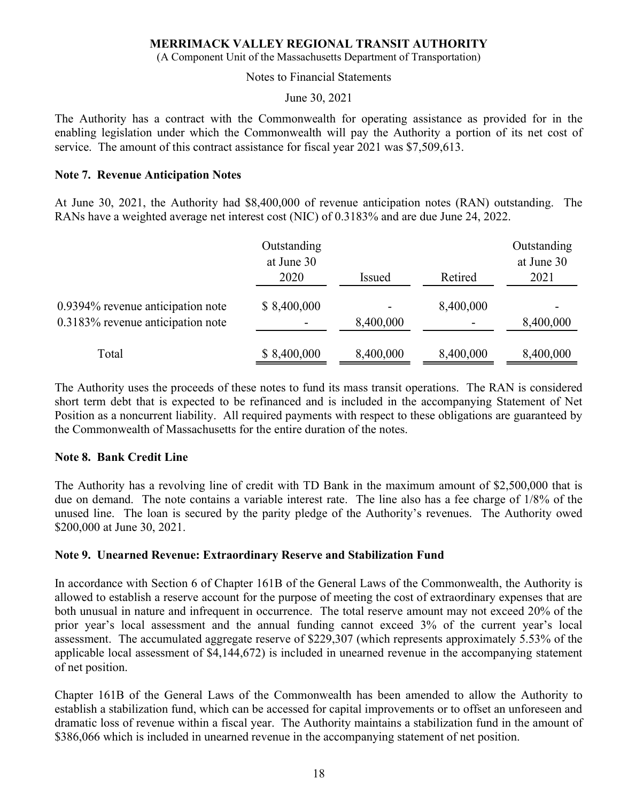## Note 7. Revenue Anticipation Notes

|                                                                                                                                                                                                                                                                                                      | <b>MERRIMACK VALLEY REGIONAL TRANSIT AUTHORITY</b><br>(A Component Unit of the Massachusetts Department of Transportation) |           |           |                                   |
|------------------------------------------------------------------------------------------------------------------------------------------------------------------------------------------------------------------------------------------------------------------------------------------------------|----------------------------------------------------------------------------------------------------------------------------|-----------|-----------|-----------------------------------|
|                                                                                                                                                                                                                                                                                                      | Notes to Financial Statements                                                                                              |           |           |                                   |
|                                                                                                                                                                                                                                                                                                      | June 30, 2021                                                                                                              |           |           |                                   |
| The Authority has a contract with the Commonwealth for operating assistance as provided for in the<br>enabling legislation under which the Commonwealth will pay the Authority a portion of its net cost of<br>service. The amount of this contract assistance for fiscal year 2021 was \$7,509,613. |                                                                                                                            |           |           |                                   |
|                                                                                                                                                                                                                                                                                                      |                                                                                                                            |           |           |                                   |
| <b>Note 7. Revenue Anticipation Notes</b>                                                                                                                                                                                                                                                            |                                                                                                                            |           |           |                                   |
| At June 30, 2021, the Authority had \$8,400,000 of revenue anticipation notes (RAN) outstanding. The<br>RANs have a weighted average net interest cost (NIC) of 0.3183% and are due June 24, 2022.                                                                                                   |                                                                                                                            |           |           |                                   |
|                                                                                                                                                                                                                                                                                                      | Outstanding<br>at June 30<br>2020                                                                                          | Issued    | Retired   | Outstanding<br>at June 30<br>2021 |
| 0.9394% revenue anticipation note                                                                                                                                                                                                                                                                    | \$8,400,000                                                                                                                |           | 8,400,000 |                                   |
| 0.3183% revenue anticipation note                                                                                                                                                                                                                                                                    |                                                                                                                            | 8,400,000 |           | 8,400,000                         |

The Authority uses the proceeds of these notes to fund its mass transit operations. The RAN is considered short term debt that is expected to be refinanced and is included in the accompanying Statement of Net Position as a noncurrent liability. All required payments with respect to these obligations are guaranteed by the Commonwealth of Massachusetts for the entire duration of the notes.

## Note 8. Bank Credit Line

The Authority has a revolving line of credit with TD Bank in the maximum amount of \$2,500,000 that is due on demand. The note contains a variable interest rate. The line also has a fee charge of 1/8% of the unused line. The loan is secured by the parity pledge of the Authority's revenues. The Authority owed \$200,000 at June 30, 2021.

## Note 9. Unearned Revenue: Extraordinary Reserve and Stabilization Fund

In accordance with Section 6 of Chapter 161B of the General Laws of the Commonwealth, the Authority is allowed to establish a reserve account for the purpose of meeting the cost of extraordinary expenses that are both unusual in nature and infrequent in occurrence. The total reserve amount may not exceed 20% of the prior year's local assessment and the annual funding cannot exceed 3% of the current year's local assessment. The accumulated aggregate reserve of \$229,307 (which represents approximately 5.53% of the applicable local assessment of \$4,144,672) is included in unearned revenue in the accompanying statement of net position.

Chapter 161B of the General Laws of the Commonwealth has been amended to allow the Authority to establish a stabilization fund, which can be accessed for capital improvements or to offset an unforeseen and dramatic loss of revenue within a fiscal year. The Authority maintains a stabilization fund in the amount of \$386,066 which is included in unearned revenue in the accompanying statement of net position.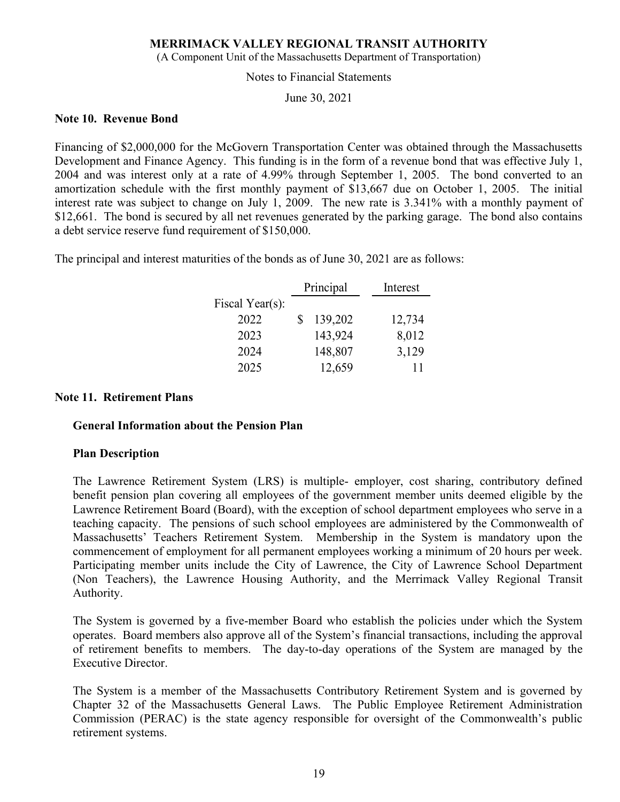(A Component Unit of the Massachusetts Department of Transportation)

Notes to Financial Statements

June 30, 2021

#### Note 10. Revenue Bond

Financing of \$2,000,000 for the McGovern Transportation Center was obtained through the Massachusetts Development and Finance Agency. This funding is in the form of a revenue bond that was effective July 1, 2004 and was interest only at a rate of 4.99% through September 1, 2005. The bond converted to an amortization schedule with the first monthly payment of \$13,667 due on October 1, 2005. The initial interest rate was subject to change on July 1, 2009. The new rate is 3.341% with a monthly payment of \$12,661. The bond is secured by all net revenues generated by the parking garage. The bond also contains a debt service reserve fund requirement of \$150,000. GIONAL TRANSIT AUTHORITY<br>
Economization<br>
anacial Statements<br>
anacial Statements<br>
anacial Statements<br>
5 30, 2021<br>
boortation Center was obtained through the Massachusetts<br>
is in the form of a revenue bond that was effective In the Massachusetts Department of Transportation)<br>
Notes to Financial Statements<br>
June 30, 2021<br>
Biotherm Transportation Center was obtained through the Massachusetts<br>
this funding is in the form of a reveaue bond that w Fransportation Center was obtained through the Massachusetts<br>
This funding is in the form of a revenue bond that was effective July 1,<br>
2016. The bond converted to an<br>
monthly payment of \$13,667 due on October 1, 2005. The

The principal and interest maturities of the bonds as of June 30, 2021 are as follows:

|                 | Principal | Interest |
|-----------------|-----------|----------|
| Fiscal Year(s): |           |          |
| 2022            | 139,202   | 12,734   |
| 2023            | 143,924   | 8,012    |
| 2024            | 148,807   | 3,129    |
| 2025            | 12,659    | 11       |

## Note 11. Retirement Plans

#### General Information about the Pension Plan

## Plan Description

The Lawrence Retirement System (LRS) is multiple- employer, cost sharing, contributory defined benefit pension plan covering all employees of the government member units deemed eligible by the Lawrence Retirement Board (Board), with the exception of school department employees who serve in a teaching capacity. The pensions of such school employees are administered by the Commonwealth of Massachusetts' Teachers Retirement System. Membership in the System is mandatory upon the commencement of employment for all permanent employees working a minimum of 20 hours per week. Participating member units include the City of Lawrence, the City of Lawrence School Department (Non Teachers), the Lawrence Housing Authority, and the Merrimack Valley Regional Transit Authority.

The System is governed by a five-member Board who establish the policies under which the System operates. Board members also approve all of the System's financial transactions, including the approval of retirement benefits to members. The day-to-day operations of the System are managed by the Executive Director.

The System is a member of the Massachusetts Contributory Retirement System and is governed by Chapter 32 of the Massachusetts General Laws. The Public Employee Retirement Administration Commission (PERAC) is the state agency responsible for oversight of the Commonwealth's public retirement systems.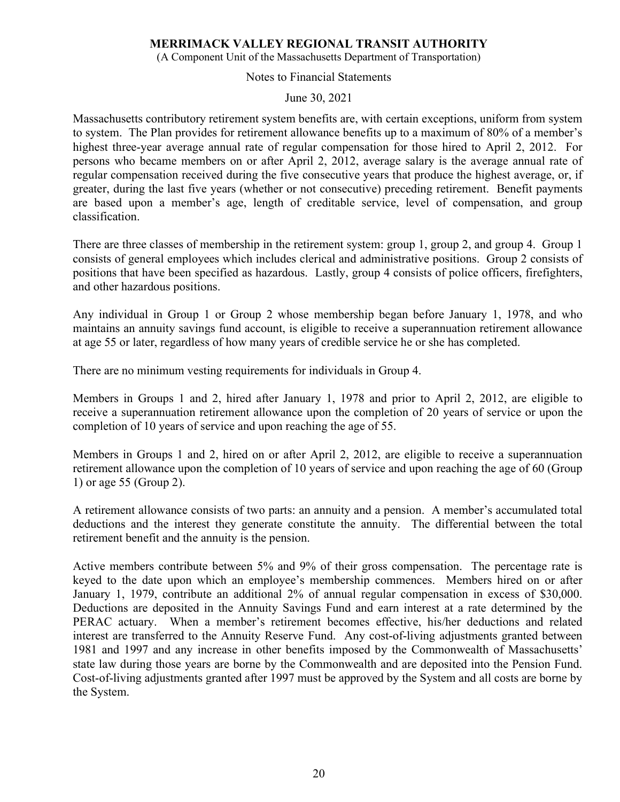(A Component Unit of the Massachusetts Department of Transportation)

Notes to Financial Statements

June 30, 2021

Massachusetts contributory retirement system benefits are, with certain exceptions, uniform from system to system. The Plan provides for retirement allowance benefits up to a maximum of 80% of a member's highest three-year average annual rate of regular compensation for those hired to April 2, 2012. For persons who became members on or after April 2, 2012, average salary is the average annual rate of regular compensation received during the five consecutive years that produce the highest average, or, if greater, during the last five years (whether or not consecutive) preceding retirement. Benefit payments are based upon a member's age, length of creditable service, level of compensation, and group classification.

There are three classes of membership in the retirement system: group 1, group 2, and group 4. Group 1 consists of general employees which includes clerical and administrative positions. Group 2 consists of positions that have been specified as hazardous. Lastly, group 4 consists of police officers, firefighters, and other hazardous positions.

Any individual in Group 1 or Group 2 whose membership began before January 1, 1978, and who maintains an annuity savings fund account, is eligible to receive a superannuation retirement allowance at age 55 or later, regardless of how many years of credible service he or she has completed.

There are no minimum vesting requirements for individuals in Group 4.

Members in Groups 1 and 2, hired after January 1, 1978 and prior to April 2, 2012, are eligible to receive a superannuation retirement allowance upon the completion of 20 years of service or upon the completion of 10 years of service and upon reaching the age of 55.

Members in Groups 1 and 2, hired on or after April 2, 2012, are eligible to receive a superannuation retirement allowance upon the completion of 10 years of service and upon reaching the age of 60 (Group 1) or age 55 (Group 2).

A retirement allowance consists of two parts: an annuity and a pension. A member's accumulated total deductions and the interest they generate constitute the annuity. The differential between the total retirement benefit and the annuity is the pension.

Active members contribute between 5% and 9% of their gross compensation. The percentage rate is keyed to the date upon which an employee's membership commences. Members hired on or after January 1, 1979, contribute an additional 2% of annual regular compensation in excess of \$30,000. Deductions are deposited in the Annuity Savings Fund and earn interest at a rate determined by the PERAC actuary. When a member's retirement becomes effective, his/her deductions and related interest are transferred to the Annuity Reserve Fund. Any cost-of-living adjustments granted between 1981 and 1997 and any increase in other benefits imposed by the Commonwealth of Massachusetts' state law during those years are borne by the Commonwealth and are deposited into the Pension Fund. Cost-of-living adjustments granted after 1997 must be approved by the System and all costs are borne by the System.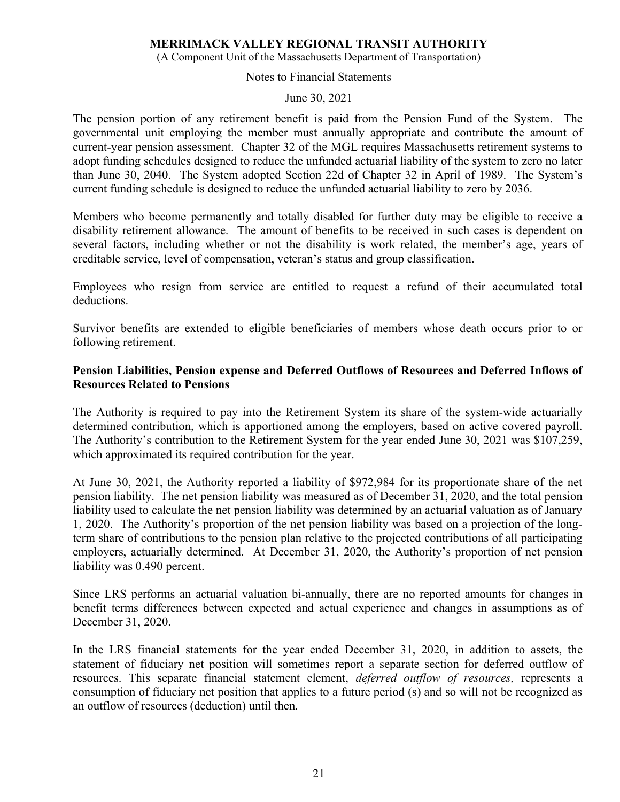(A Component Unit of the Massachusetts Department of Transportation)

### Notes to Financial Statements

June 30, 2021

The pension portion of any retirement benefit is paid from the Pension Fund of the System. The governmental unit employing the member must annually appropriate and contribute the amount of current-year pension assessment. Chapter 32 of the MGL requires Massachusetts retirement systems to adopt funding schedules designed to reduce the unfunded actuarial liability of the system to zero no later than June 30, 2040. The System adopted Section 22d of Chapter 32 in April of 1989. The System's current funding schedule is designed to reduce the unfunded actuarial liability to zero by 2036.

Members who become permanently and totally disabled for further duty may be eligible to receive a disability retirement allowance. The amount of benefits to be received in such cases is dependent on several factors, including whether or not the disability is work related, the member's age, years of creditable service, level of compensation, veteran's status and group classification.

Employees who resign from service are entitled to request a refund of their accumulated total deductions.

Survivor benefits are extended to eligible beneficiaries of members whose death occurs prior to or following retirement.

## Pension Liabilities, Pension expense and Deferred Outflows of Resources and Deferred Inflows of Resources Related to Pensions

The Authority is required to pay into the Retirement System its share of the system-wide actuarially determined contribution, which is apportioned among the employers, based on active covered payroll. The Authority's contribution to the Retirement System for the year ended June 30, 2021 was \$107,259, which approximated its required contribution for the year.

At June 30, 2021, the Authority reported a liability of \$972,984 for its proportionate share of the net pension liability. The net pension liability was measured as of December 31, 2020, and the total pension liability used to calculate the net pension liability was determined by an actuarial valuation as of January 1, 2020. The Authority's proportion of the net pension liability was based on a projection of the longterm share of contributions to the pension plan relative to the projected contributions of all participating employers, actuarially determined. At December 31, 2020, the Authority's proportion of net pension liability was 0.490 percent.

Since LRS performs an actuarial valuation bi-annually, there are no reported amounts for changes in benefit terms differences between expected and actual experience and changes in assumptions as of December 31, 2020.

In the LRS financial statements for the year ended December 31, 2020, in addition to assets, the statement of fiduciary net position will sometimes report a separate section for deferred outflow of resources. This separate financial statement element, *deferred outflow of resources*, represents a consumption of fiduciary net position that applies to a future period (s) and so will not be recognized as an outflow of resources (deduction) until then.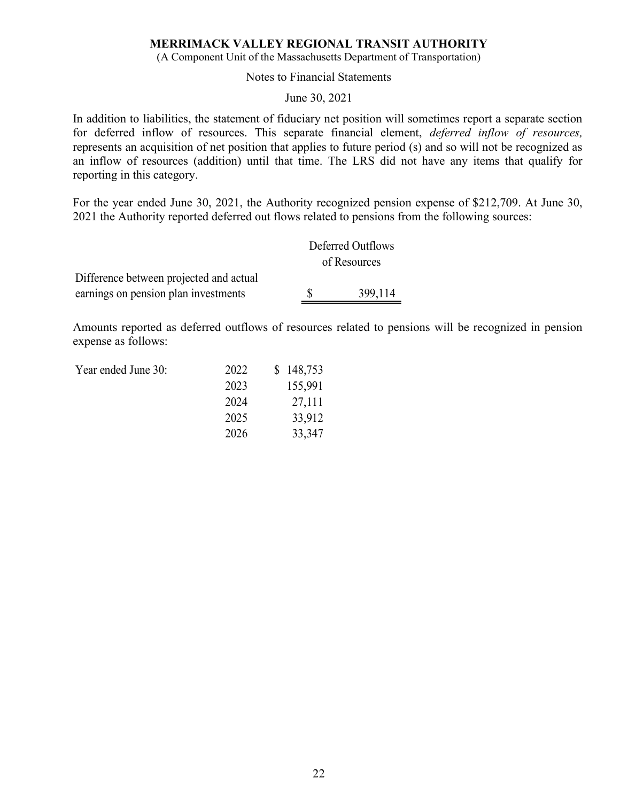(A Component Unit of the Massachusetts Department of Transportation)

## Notes to Financial Statements

June 30, 2021

In addition to liabilities, the statement of fiduciary net position will sometimes report a separate section for deferred inflow of resources. This separate financial element, deferred inflow of resources, represents an acquisition of net position that applies to future period (s) and so will not be recognized as an inflow of resources (addition) until that time. The LRS did not have any items that qualify for reporting in this category. **EXECTIONAL TRANSIT AUTHORITY**<br>
(A Component Unit of the Massachusetts Department of Transportation)<br>
Notes to Financial Statements<br>
June 30, 2021<br>
(a for deferred inflow of resources. This separate financial element, *de* in addition to liabilities, the statement of fiduciary net position will sometimes report a separate section<br>for deferred inflow of resources. This separate financial element, *deferred inflow of resources*,<br>represents an rces. This separate financial element, *deferred inflow of resources*,<br>position that applies to future period (s) and so will not be recognized as<br>on) until that time. The LRS did not have any items that qualify for<br>221, t

|                                                                                                                             |      |              |         | Deferred Outflows |
|-----------------------------------------------------------------------------------------------------------------------------|------|--------------|---------|-------------------|
|                                                                                                                             |      |              |         | of Resources      |
| Difference between projected and actual<br>earnings on pension plan investments                                             |      |              |         | 399,114           |
| Amounts reported as deferred outflows of resources related to pensions will be recognized in pension<br>expense as follows: |      |              |         |                   |
| Year ended June 30:                                                                                                         | 2022 | $\mathbb{S}$ | 148,753 |                   |
|                                                                                                                             | 2023 |              | 155,991 |                   |
|                                                                                                                             | 2024 |              | 27,111  |                   |
|                                                                                                                             | 2025 |              | 33,912  |                   |

| Year ended June 30: | 2022 | \$148,753 |
|---------------------|------|-----------|
|                     | 2023 | 155,991   |
|                     | 2024 | 27,111    |
|                     | 2025 | 33,912    |
|                     | 2026 | 33,347    |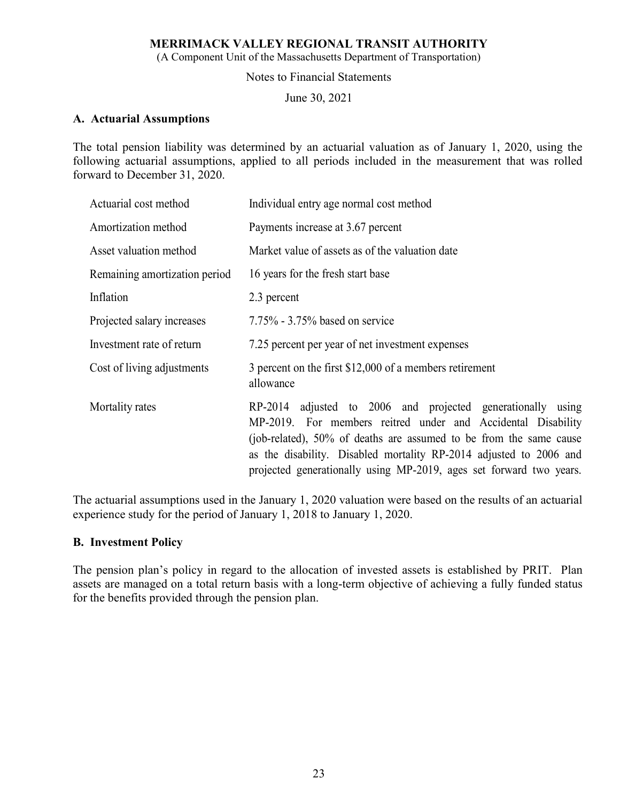## A. Actuarial Assumptions

|                               | (A Component Unit of the Massachusetts Department of Transportation)                                                                                                                                                                                                                                                                           |
|-------------------------------|------------------------------------------------------------------------------------------------------------------------------------------------------------------------------------------------------------------------------------------------------------------------------------------------------------------------------------------------|
|                               | <b>Notes to Financial Statements</b>                                                                                                                                                                                                                                                                                                           |
| <b>Actuarial Assumptions</b>  | June 30, 2021                                                                                                                                                                                                                                                                                                                                  |
| ward to December 31, 2020.    | e total pension liability was determined by an actuarial valuation as of January 1, 2020, using the<br>lowing actuarial assumptions, applied to all periods included in the measurement that was rolled                                                                                                                                        |
| Actuarial cost method         | Individual entry age normal cost method                                                                                                                                                                                                                                                                                                        |
| Amortization method           | Payments increase at 3.67 percent                                                                                                                                                                                                                                                                                                              |
| Asset valuation method        | Market value of assets as of the valuation date                                                                                                                                                                                                                                                                                                |
| Remaining amortization period | 16 years for the fresh start base                                                                                                                                                                                                                                                                                                              |
| Inflation                     | 2.3 percent                                                                                                                                                                                                                                                                                                                                    |
| Projected salary increases    | 7.75% - 3.75% based on service                                                                                                                                                                                                                                                                                                                 |
| Investment rate of return     | 7.25 percent per year of net investment expenses                                                                                                                                                                                                                                                                                               |
| Cost of living adjustments    | 3 percent on the first $$12,000$ of a members retirement<br>allowance                                                                                                                                                                                                                                                                          |
| Mortality rates               | RP-2014 adjusted to 2006 and projected generationally using<br>MP-2019. For members reitred under and Accidental Disability<br>(job-related), 50% of deaths are assumed to be from the same cause<br>as the disability. Disabled mortality RP-2014 adjusted to 2006 and<br>projected generationally using MP-2019, ages set forward two years. |

## B. Investment Policy

The pension plan's policy in regard to the allocation of invested assets is established by PRIT. Plan assets are managed on a total return basis with a long-term objective of achieving a fully funded status for the benefits provided through the pension plan.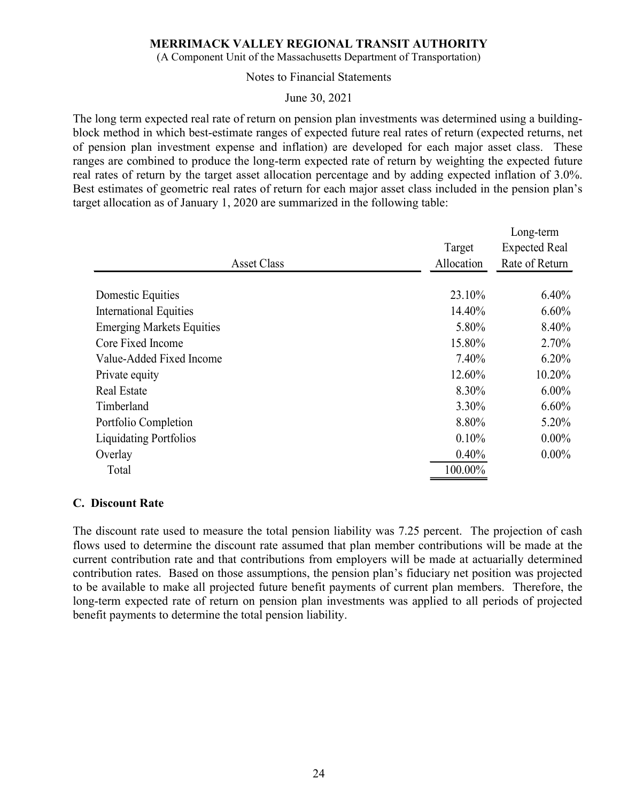## Notes to Financial Statements

The long term expected real rate of return on pension plan investments was determined using a buildingblock method in which best-estimate ranges of expected future real rates of return (expected returns, net of pension plan investment expense and inflation) are developed for each major asset class. These ranges are combined to produce the long-term expected rate of return by weighting the expected future real rates of return by the target asset allocation percentage and by adding expected inflation of 3.0%. Best estimates of geometric real rates of return for each major asset class included in the pension plan's target allocation as of January 1, 2020 are summarized in the following table: **IORITY**<br>
ortation)<br>
determined using a building-<br>
return (expected returns, net<br>
h major asset class. These<br>
eighting the expected future<br>
expected inflation of 3.0%.<br>
cluded in the pension plan's<br>
:<br>
Long-term<br>
Target Ex

| (A Component Unit of the Massachusetts Department of Transportation) |                                                                                                                                                                                                                                                                                                                                                                                                                                                                                                                                                                                                                                                                                                                                       |
|----------------------------------------------------------------------|---------------------------------------------------------------------------------------------------------------------------------------------------------------------------------------------------------------------------------------------------------------------------------------------------------------------------------------------------------------------------------------------------------------------------------------------------------------------------------------------------------------------------------------------------------------------------------------------------------------------------------------------------------------------------------------------------------------------------------------|
|                                                                      |                                                                                                                                                                                                                                                                                                                                                                                                                                                                                                                                                                                                                                                                                                                                       |
|                                                                      |                                                                                                                                                                                                                                                                                                                                                                                                                                                                                                                                                                                                                                                                                                                                       |
|                                                                      |                                                                                                                                                                                                                                                                                                                                                                                                                                                                                                                                                                                                                                                                                                                                       |
|                                                                      | Long-term                                                                                                                                                                                                                                                                                                                                                                                                                                                                                                                                                                                                                                                                                                                             |
| Target                                                               | <b>Expected Real</b>                                                                                                                                                                                                                                                                                                                                                                                                                                                                                                                                                                                                                                                                                                                  |
| Allocation                                                           | Rate of Return                                                                                                                                                                                                                                                                                                                                                                                                                                                                                                                                                                                                                                                                                                                        |
|                                                                      | 6.40%                                                                                                                                                                                                                                                                                                                                                                                                                                                                                                                                                                                                                                                                                                                                 |
| 14.40%                                                               | 6.60%                                                                                                                                                                                                                                                                                                                                                                                                                                                                                                                                                                                                                                                                                                                                 |
| 5.80%                                                                | 8.40%                                                                                                                                                                                                                                                                                                                                                                                                                                                                                                                                                                                                                                                                                                                                 |
| 15.80%                                                               | 2.70%                                                                                                                                                                                                                                                                                                                                                                                                                                                                                                                                                                                                                                                                                                                                 |
| 7.40%                                                                | 6.20%                                                                                                                                                                                                                                                                                                                                                                                                                                                                                                                                                                                                                                                                                                                                 |
| 12.60%                                                               | 10.20%                                                                                                                                                                                                                                                                                                                                                                                                                                                                                                                                                                                                                                                                                                                                |
| 8.30%                                                                | $6.00\%$                                                                                                                                                                                                                                                                                                                                                                                                                                                                                                                                                                                                                                                                                                                              |
| 3.30%                                                                | $6.60\%$                                                                                                                                                                                                                                                                                                                                                                                                                                                                                                                                                                                                                                                                                                                              |
| 8.80%                                                                | 5.20%                                                                                                                                                                                                                                                                                                                                                                                                                                                                                                                                                                                                                                                                                                                                 |
|                                                                      | $0.00\%$                                                                                                                                                                                                                                                                                                                                                                                                                                                                                                                                                                                                                                                                                                                              |
| 0.10%                                                                |                                                                                                                                                                                                                                                                                                                                                                                                                                                                                                                                                                                                                                                                                                                                       |
| $0.40\%$                                                             | $0.00\%$                                                                                                                                                                                                                                                                                                                                                                                                                                                                                                                                                                                                                                                                                                                              |
|                                                                      | e long term expected real rate of return on pension plan investments was determined using a building-<br>ck method in which best-estimate ranges of expected future real rates of return (expected returns, net<br>pension plan investment expense and inflation) are developed for each major asset class. These<br>ges are combined to produce the long-term expected rate of return by weighting the expected future<br>I rates of return by the target asset allocation percentage and by adding expected inflation of 3.0%.<br>st estimates of geometric real rates of return for each major asset class included in the pension plan's<br>get allocation as of January 1, 2020 are summarized in the following table:<br>23.10% |

## C. Discount Rate

The discount rate used to measure the total pension liability was 7.25 percent. The projection of cash flows used to determine the discount rate assumed that plan member contributions will be made at the current contribution rate and that contributions from employers will be made at actuarially determined contribution rates. Based on those assumptions, the pension plan's fiduciary net position was projected to be available to make all projected future benefit payments of current plan members. Therefore, the long-term expected rate of return on pension plan investments was applied to all periods of projected benefit payments to determine the total pension liability.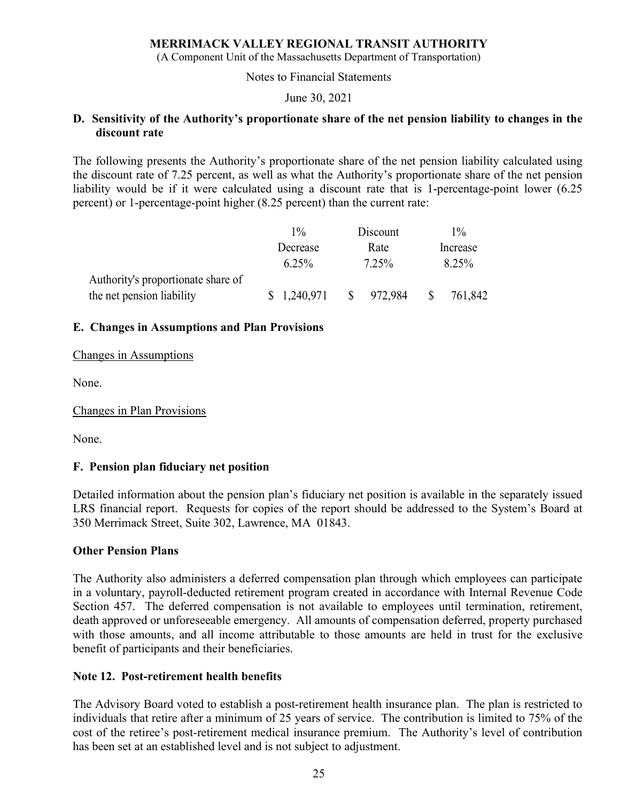## D. Sensitivity of the Authority's proportionate share of the net pension liability to changes in the discount rate

The following presents the Authority's proportionate share of the net pension liability calculated using the discount rate of 7.25 percent, as well as what the Authority's proportionate share of the net pension liability would be if it were calculated using a discount rate that is 1-percentage-point lower (6.25) percent) or 1-percentage-point higher (8.25 percent) than the current rate: REGIONAL TRANSIT AUTHORITY<br>
ssachusetts Department of Transportation)<br>
Financial Statements<br>
une 30, 2021<br>
onate share of the net pension liability to changes in the<br>
ortionate share of the net pension liability calculated V REGIONAL TRANSIT AUTHORITY<br>
Massachusetts Department of Transportation)<br>
to Financial Statements<br>
June 30, 2021<br>
rtionate share of the net pension liability to changes in the<br>
coportionate share of the net pension liabil REGIONAL TRANSIT AUTHORITY<br>
Iassachusetts Department of Transportation)<br>
Financial Statements<br>
June 30, 2021<br>
tionate share of the net pension liability to changes in the<br>
poortionate share of the net pension liability cal

| MERRIMACK VALLEY REGIONAL TRANSIT AUTHORITY<br>(A Component Unit of the Massachusetts Department of Transportation)                                                                                                                                                                                                                                                                               |                               |              |          |              |          |  |
|---------------------------------------------------------------------------------------------------------------------------------------------------------------------------------------------------------------------------------------------------------------------------------------------------------------------------------------------------------------------------------------------------|-------------------------------|--------------|----------|--------------|----------|--|
|                                                                                                                                                                                                                                                                                                                                                                                                   | Notes to Financial Statements |              |          |              |          |  |
|                                                                                                                                                                                                                                                                                                                                                                                                   | June 30, 2021                 |              |          |              |          |  |
| Sensitivity of the Authority's proportionate share of the net pension liability to changes in the<br>discount rate                                                                                                                                                                                                                                                                                |                               |              |          |              |          |  |
| e following presents the Authority's proportionate share of the net pension liability calculated using<br>discount rate of 7.25 percent, as well as what the Authority's proportionate share of the net pension<br>bility would be if it were calculated using a discount rate that is 1-percentage-point lower (6.25<br>cent) or 1-percentage-point higher (8.25 percent) than the current rate: |                               |              |          |              |          |  |
|                                                                                                                                                                                                                                                                                                                                                                                                   | $1\%$                         |              | Discount |              | $1\%$    |  |
|                                                                                                                                                                                                                                                                                                                                                                                                   | Decrease                      |              | Rate     |              | Increase |  |
|                                                                                                                                                                                                                                                                                                                                                                                                   | 6.25%                         |              | $7.25\%$ |              | 8.25%    |  |
| Authority's proportionate share of                                                                                                                                                                                                                                                                                                                                                                |                               |              |          |              |          |  |
| the net pension liability                                                                                                                                                                                                                                                                                                                                                                         | \$1,240,971                   | $\mathbb{S}$ | 972,984  | $\mathbb{S}$ | 761,842  |  |
| <b>Changes in Assumptions and Plan Provisions</b>                                                                                                                                                                                                                                                                                                                                                 |                               |              |          |              |          |  |
| anges in Assumptions                                                                                                                                                                                                                                                                                                                                                                              |                               |              |          |              |          |  |

## E. Changes in Assumptions and Plan Provisions

Changes in Assumptions

None.

Changes in Plan Provisions

None.

## F. Pension plan fiduciary net position

Detailed information about the pension plan's fiduciary net position is available in the separately issued LRS financial report. Requests for copies of the report should be addressed to the System's Board at 350 Merrimack Street, Suite 302, Lawrence, MA 01843.

## Other Pension Plans

The Authority also administers a deferred compensation plan through which employees can participate in a voluntary, payroll-deducted retirement program created in accordance with Internal Revenue Code Section 457. The deferred compensation is not available to employees until termination, retirement, death approved or unforeseeable emergency. All amounts of compensation deferred, property purchased with those amounts, and all income attributable to those amounts are held in trust for the exclusive benefit of participants and their beneficiaries.

## Note 12. Post-retirement health benefits

The Advisory Board voted to establish a post-retirement health insurance plan. The plan is restricted to individuals that retire after a minimum of 25 years of service. The contribution is limited to 75% of the cost of the retiree's post-retirement medical insurance premium. The Authority's level of contribution has been set at an established level and is not subject to adjustment.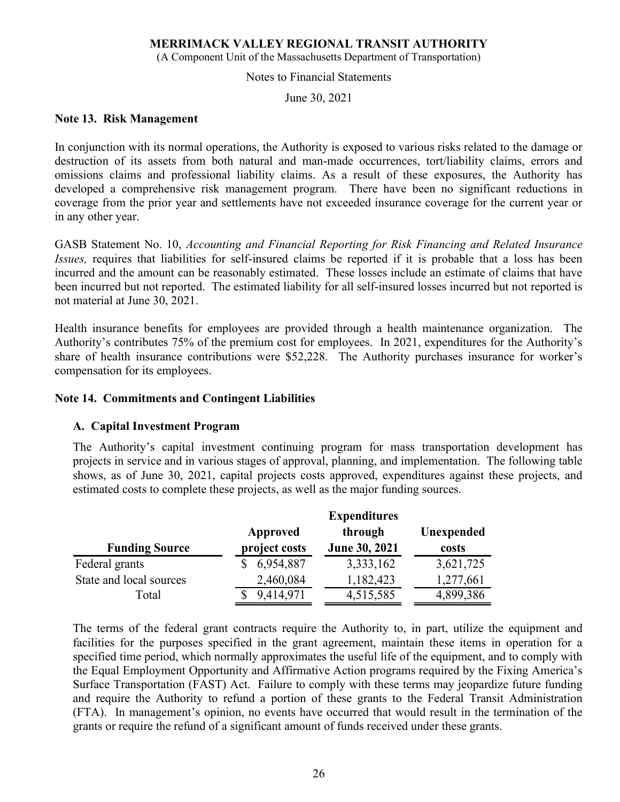(A Component Unit of the Massachusetts Department of Transportation)

#### Notes to Financial Statements

June 30, 2021

#### Note 13. Risk Management

In conjunction with its normal operations, the Authority is exposed to various risks related to the damage or destruction of its assets from both natural and man-made occurrences, tort/liability claims, errors and omissions claims and professional liability claims. As a result of these exposures, the Authority has developed a comprehensive risk management program. There have been no significant reductions in coverage from the prior year and settlements have not exceeded insurance coverage for the current year or in any other year.

GASB Statement No. 10, Accounting and Financial Reporting for Risk Financing and Related Insurance Issues, requires that liabilities for self-insured claims be reported if it is probable that a loss has been incurred and the amount can be reasonably estimated. These losses include an estimate of claims that have been incurred but not reported. The estimated liability for all self-insured losses incurred but not reported is not material at June 30, 2021.

### Note 14. Commitments and Contingent Liabilities

## A. Capital Investment Program

| irred and the amount can be reasonably estimated. These losses include an estimate of claims that have                                                                                                                                                                                                                                           |                 |                     |            |  |
|--------------------------------------------------------------------------------------------------------------------------------------------------------------------------------------------------------------------------------------------------------------------------------------------------------------------------------------------------|-----------------|---------------------|------------|--|
| n incurred but not reported. The estimated liability for all self-insured losses incurred but not reported is<br>material at June 30, 2021.                                                                                                                                                                                                      |                 |                     |            |  |
| lth insurance benefits for employees are provided through a health maintenance organization. The<br>hority's contributes 75% of the premium cost for employees. In 2021, expenditures for the Authority's<br>re of health insurance contributions were \$52,228. The Authority purchases insurance for worker's<br>opensation for its employees. |                 |                     |            |  |
| e 14. Commitments and Contingent Liabilities                                                                                                                                                                                                                                                                                                     |                 |                     |            |  |
| A. Capital Investment Program                                                                                                                                                                                                                                                                                                                    |                 |                     |            |  |
| projects in service and in various stages of approval, planning, and implementation. The following table<br>shows, as of June 30, 2021, capital projects costs approved, expenditures against these projects, and<br>estimated costs to complete these projects, as well as the major funding sources.                                           |                 | <b>Expenditures</b> |            |  |
|                                                                                                                                                                                                                                                                                                                                                  | <b>Approved</b> | through             | Unexpended |  |
| <b>Funding Source</b>                                                                                                                                                                                                                                                                                                                            | project costs   | June 30, 2021       | costs      |  |
| Federal grants                                                                                                                                                                                                                                                                                                                                   | \$6,954,887     | 3,333,162           | 3,621,725  |  |
|                                                                                                                                                                                                                                                                                                                                                  |                 |                     |            |  |
| State and local sources                                                                                                                                                                                                                                                                                                                          | 2,460,084       | 1,182,423           | 1,277,661  |  |
| Total                                                                                                                                                                                                                                                                                                                                            | 9,414,971       | 4,515,585           | 4,899,386  |  |

The terms of the federal grant contracts require the Authority to, in part, utilize the equipment and facilities for the purposes specified in the grant agreement, maintain these items in operation for a specified time period, which normally approximates the useful life of the equipment, and to comply with the Equal Employment Opportunity and Affirmative Action programs required by the Fixing America's Surface Transportation (FAST) Act. Failure to comply with these terms may jeopardize future funding and require the Authority to refund a portion of these grants to the Federal Transit Administration (FTA). In management's opinion, no events have occurred that would result in the termination of the grants or require the refund of a significant amount of funds received under these grants.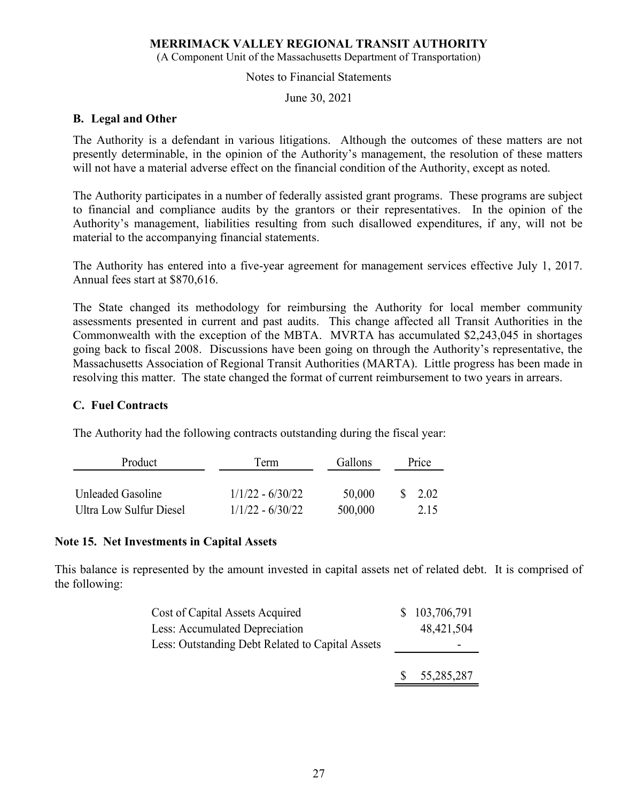(A Component Unit of the Massachusetts Department of Transportation)

Notes to Financial Statements

June 30, 2021

## B. Legal and Other

The Authority is a defendant in various litigations. Although the outcomes of these matters are not presently determinable, in the opinion of the Authority's management, the resolution of these matters will not have a material adverse effect on the financial condition of the Authority, except as noted.

The Authority participates in a number of federally assisted grant programs. These programs are subject to financial and compliance audits by the grantors or their representatives. In the opinion of the Authority's management, liabilities resulting from such disallowed expenditures, if any, will not be material to the accompanying financial statements.

The Authority has entered into a five-year agreement for management services effective July 1, 2017. Annual fees start at \$870,616.

The State changed its methodology for reimbursing the Authority for local member community assessments presented in current and past audits. This change affected all Transit Authorities in the Commonwealth with the exception of the MBTA. MVRTA has accumulated \$2,243,045 in shortages going back to fiscal 2008. Discussions have been going on through the Authority's representative, the Massachusetts Association of Regional Transit Authorities (MARTA). Little progress has been made in resolving this matter. The state changed the format of current reimbursement to two years in arrears. and and compliance and<br>is by the graniors or their representatives. In the opinion of the<br>s is mangement, liabilities resulting from such disallowed expenditures, if any, will not be<br>accompanying financial statements.<br>Ori material to the accompanying financial statements.<br>
The Authority has entered into a five-year agreement for management services effective July 1, 2017.<br>
Annual fices start at \$870,616.<br>
The State changed its methodology f The Authority has entered into a five-year agreement for management services effective July 1, 2017.<br>
Annual fees start at \$870,616.<br>
The State changed its methodology for reimbursing the Authority for local member communi

## C. Fuel Contracts

The Authority had the following contracts outstanding during the fiscal year:

| Product                 | Term               | Gallons | Price |
|-------------------------|--------------------|---------|-------|
| Unleaded Gasoline       | $1/1/22 - 6/30/22$ | 50,000  | 2.02  |
| Ultra Low Sulfur Diesel | $1/1/22 - 6/30/22$ | 500,000 | 2.15  |

## Note 15. Net Investments in Capital Assets

This balance is represented by the amount invested in capital assets net of related debt. It is comprised of the following:

| Term                            | Gallons |                                                  |              |                                                                         |                                                                                                                                                                                                                                                                            |
|---------------------------------|---------|--------------------------------------------------|--------------|-------------------------------------------------------------------------|----------------------------------------------------------------------------------------------------------------------------------------------------------------------------------------------------------------------------------------------------------------------------|
| $1/1/22 - 6/30/22$              | 50,000  | S.                                               | 2.02         |                                                                         |                                                                                                                                                                                                                                                                            |
| $1/1/22 - 6/30/22$              | 500,000 |                                                  | 2.15         |                                                                         |                                                                                                                                                                                                                                                                            |
| <b>tments in Capital Assets</b> |         |                                                  |              |                                                                         |                                                                                                                                                                                                                                                                            |
|                                 |         |                                                  |              |                                                                         |                                                                                                                                                                                                                                                                            |
| Cost of Capital Assets Acquired |         | S                                                | 103,706,791  |                                                                         |                                                                                                                                                                                                                                                                            |
| Less: Accumulated Depreciation  |         |                                                  | 48, 421, 504 |                                                                         |                                                                                                                                                                                                                                                                            |
|                                 |         |                                                  |              |                                                                         |                                                                                                                                                                                                                                                                            |
|                                 |         |                                                  | 55,285,287   |                                                                         |                                                                                                                                                                                                                                                                            |
|                                 |         |                                                  |              |                                                                         |                                                                                                                                                                                                                                                                            |
|                                 |         | Less: Outstanding Debt Related to Capital Assets |              | ad the following contracts outstanding during the fiscal year:<br>Price | Association of Regional Transit Authorities (MARTA). Little progress has been made in<br>atter. The state changed the format of current reimbursement to two years in arrears.<br>esented by the amount invested in capital assets net of related debt. It is comprised of |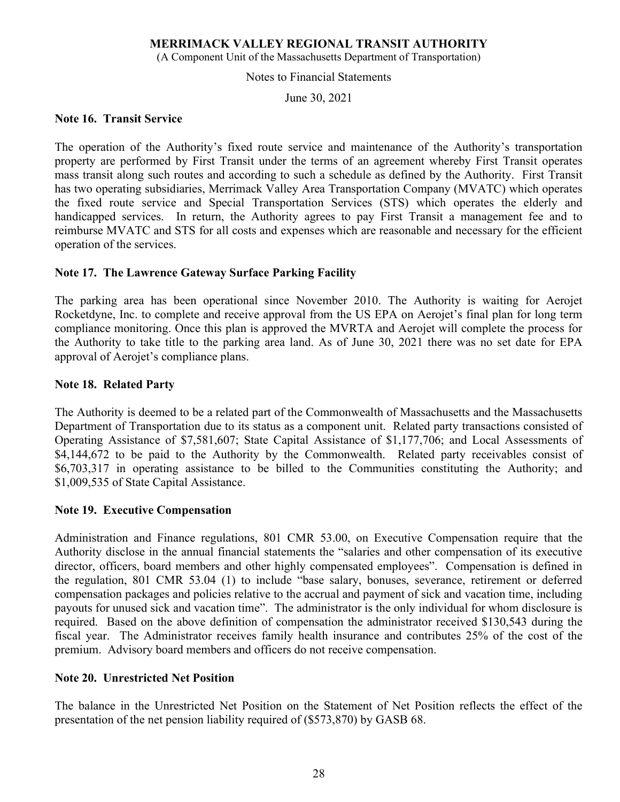(A Component Unit of the Massachusetts Department of Transportation)

#### Notes to Financial Statements

June 30, 2021

## Note 16. Transit Service

The operation of the Authority's fixed route service and maintenance of the Authority's transportation property are performed by First Transit under the terms of an agreement whereby First Transit operates mass transit along such routes and according to such a schedule as defined by the Authority. First Transit has two operating subsidiaries, Merrimack Valley Area Transportation Company (MVATC) which operates the fixed route service and Special Transportation Services (STS) which operates the elderly and handicapped services. In return, the Authority agrees to pay First Transit a management fee and to reimburse MVATC and STS for all costs and expenses which are reasonable and necessary for the efficient operation of the services.

## Note 17. The Lawrence Gateway Surface Parking Facility

The parking area has been operational since November 2010. The Authority is waiting for Aerojet Rocketdyne, Inc. to complete and receive approval from the US EPA on Aerojet's final plan for long term compliance monitoring. Once this plan is approved the MVRTA and Aerojet will complete the process for the Authority to take title to the parking area land. As of June 30, 2021 there was no set date for EPA approval of Aerojet's compliance plans.

## Note 18. Related Party

The Authority is deemed to be a related part of the Commonwealth of Massachusetts and the Massachusetts Department of Transportation due to its status as a component unit. Related party transactions consisted of Operating Assistance of \$7,581,607; State Capital Assistance of \$1,177,706; and Local Assessments of \$4,144,672 to be paid to the Authority by the Commonwealth. Related party receivables consist of \$6,703,317 in operating assistance to be billed to the Communities constituting the Authority; and \$1,009,535 of State Capital Assistance.

## Note 19. Executive Compensation

Administration and Finance regulations, 801 CMR 53.00, on Executive Compensation require that the Authority disclose in the annual financial statements the "salaries and other compensation of its executive director, officers, board members and other highly compensated employees". Compensation is defined in the regulation, 801 CMR 53.04 (1) to include "base salary, bonuses, severance, retirement or deferred compensation packages and policies relative to the accrual and payment of sick and vacation time, including payouts for unused sick and vacation time". The administrator is the only individual for whom disclosure is required. Based on the above definition of compensation the administrator received \$130,543 during the fiscal year. The Administrator receives family health insurance and contributes 25% of the cost of the premium. Advisory board members and officers do not receive compensation.

#### Note 20. Unrestricted Net Position

The balance in the Unrestricted Net Position on the Statement of Net Position reflects the effect of the presentation of the net pension liability required of (\$573,870) by GASB 68.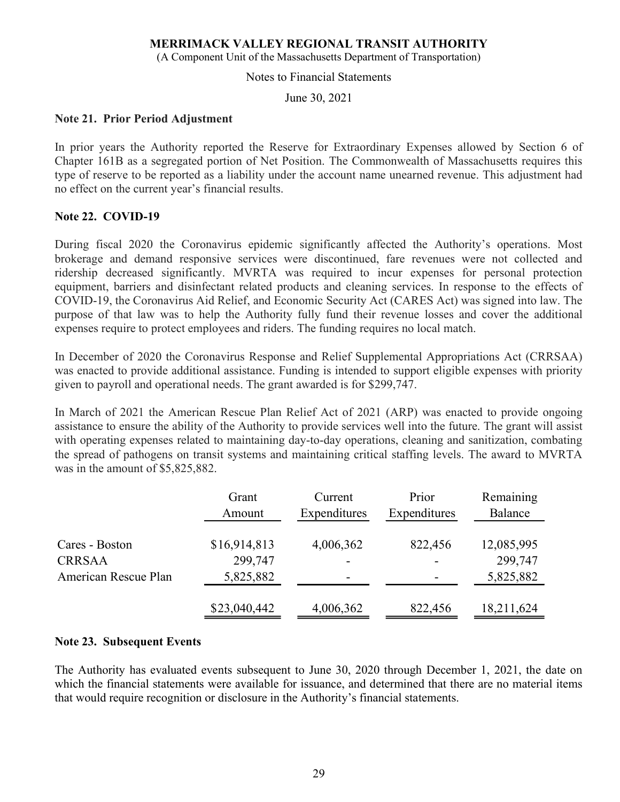(A Component Unit of the Massachusetts Department of Transportation)

#### Notes to Financial Statements

June 30, 2021

### Note 21. Prior Period Adjustment

In prior years the Authority reported the Reserve for Extraordinary Expenses allowed by Section 6 of Chapter 161B as a segregated portion of Net Position. The Commonwealth of Massachusetts requires this type of reserve to be reported as a liability under the account name unearned revenue. This adjustment had no effect on the current year's financial results.

## Note 22. COVID-19

During fiscal 2020 the Coronavirus epidemic significantly affected the Authority's operations. Most brokerage and demand responsive services were discontinued, fare revenues were not collected and ridership decreased significantly. MVRTA was required to incur expenses for personal protection equipment, barriers and disinfectant related products and cleaning services. In response to the effects of COVID-19, the Coronavirus Aid Relief, and Economic Security Act (CARES Act) was signed into law. The purpose of that law was to help the Authority fully fund their revenue losses and cover the additional expenses require to protect employees and riders. The funding requires no local match. The expective significantly affected the Authority's operations. Most<br>
Services were discontinued, fare revenues were not collected and<br>
MVRTA was required to incur expenses for personal protection<br>
trelated products and c we services were discontinued, fare revenues were not collected and<br>
MVRTA was required to incur expenses for personal protection<br>
In related products and cleaning services. In response to the effects of<br>
celeif, and Econo

| equipment, barriers and disinfectant related products and cleaning services. In response to the effects of<br>COVID-19, the Coronavirus Aid Relief, and Economic Security Act (CARES Act) was signed into law. The<br>purpose of that law was to help the Authority fully fund their revenue losses and cover the additional<br>expenses require to protect employees and riders. The funding requires no local match.                                                               |                                      |                         |                       |                                    |  |
|--------------------------------------------------------------------------------------------------------------------------------------------------------------------------------------------------------------------------------------------------------------------------------------------------------------------------------------------------------------------------------------------------------------------------------------------------------------------------------------|--------------------------------------|-------------------------|-----------------------|------------------------------------|--|
| In December of 2020 the Coronavirus Response and Relief Supplemental Appropriations Act (CRRSAA)<br>was enacted to provide additional assistance. Funding is intended to support eligible expenses with priority<br>given to payroll and operational needs. The grant awarded is for \$299,747.                                                                                                                                                                                      |                                      |                         |                       |                                    |  |
| In March of 2021 the American Rescue Plan Relief Act of 2021 (ARP) was enacted to provide ongoing<br>assistance to ensure the ability of the Authority to provide services well into the future. The grant will assist<br>with operating expenses related to maintaining day-to-day operations, cleaning and sanitization, combating<br>the spread of pathogens on transit systems and maintaining critical staffing levels. The award to MVRTA<br>was in the amount of \$5,825,882. |                                      |                         |                       |                                    |  |
|                                                                                                                                                                                                                                                                                                                                                                                                                                                                                      | Grant<br>Amount                      | Current<br>Expenditures | Prior<br>Expenditures | Remaining<br>Balance               |  |
| Cares - Boston<br><b>CRRSAA</b><br>American Rescue Plan                                                                                                                                                                                                                                                                                                                                                                                                                              | \$16,914,813<br>299,747<br>5,825,882 | 4,006,362               | 822,456               | 12,085,995<br>299,747<br>5,825,882 |  |
|                                                                                                                                                                                                                                                                                                                                                                                                                                                                                      | \$23,040,442                         | 4,006,362               | 822,456               | 18,211,624                         |  |
| Note 23.Subsequent Events                                                                                                                                                                                                                                                                                                                                                                                                                                                            |                                      |                         |                       |                                    |  |

### Note 23. Subsequent Events

The Authority has evaluated events subsequent to June 30, 2020 through December 1, 2021, the date on which the financial statements were available for issuance, and determined that there are no material items that would require recognition or disclosure in the Authority's financial statements.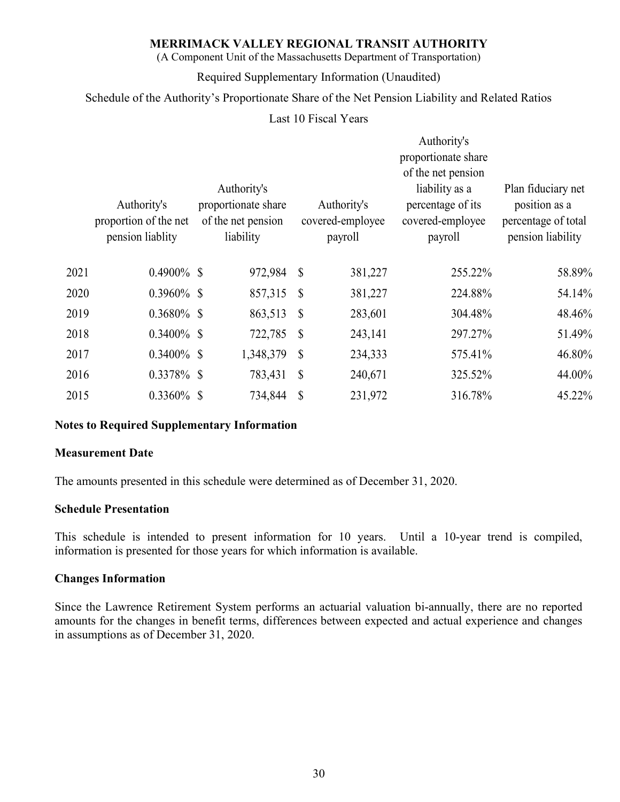## Required Supplementary Information (Unaudited)

## Last 10 Fiscal Years

|      |                                                          |                                                                       |                                            |                      | MERRIMACK VALLEY REGIONAL TRANSIT AUTHORITY<br>(A Component Unit of the Massachusetts Department of Transportation)            |                                                                                 |
|------|----------------------------------------------------------|-----------------------------------------------------------------------|--------------------------------------------|----------------------|--------------------------------------------------------------------------------------------------------------------------------|---------------------------------------------------------------------------------|
|      |                                                          | Required Supplementary Information (Unaudited)                        |                                            |                      |                                                                                                                                |                                                                                 |
|      |                                                          |                                                                       |                                            | Last 10 Fiscal Years | Schedule of the Authority's Proportionate Share of the Net Pension Liability and Related Ratios                                |                                                                                 |
|      | Authority's<br>proportion of the net<br>pension liablity | Authority's<br>proportionate share<br>of the net pension<br>liability | Authority's<br>covered-employee<br>payroll |                      | Authority's<br>proportionate share<br>of the net pension<br>liability as a<br>percentage of its<br>covered-employee<br>payroll | Plan fiduciary net<br>position as a<br>percentage of total<br>pension liability |
| 2021 | $0.4900\%$ \$                                            | 972,984                                                               | $\boldsymbol{\mathsf{S}}$                  | 381,227              | 255.22%                                                                                                                        | 58.89%                                                                          |
| 2020 | $0.3960\%$ \$                                            | 857,315                                                               | $\boldsymbol{\mathsf{S}}$                  | 381,227              | 224.88%                                                                                                                        | 54.14%                                                                          |
| 2019 | $0.3680\%$ \$                                            | 863,513                                                               | $\boldsymbol{\mathsf{S}}$                  | 283,601              | 304.48%                                                                                                                        | 48.46%                                                                          |
| 2018 | $0.3400\%$ \$                                            | 722,785                                                               | $\boldsymbol{\mathsf{S}}$                  | 243,141              | 297.27%                                                                                                                        | 51.49%                                                                          |
| 2017 | $0.3400\%$ \$                                            | 1,348,379                                                             | $\mathcal{S}$                              | 234,333              | 575.41%                                                                                                                        | 46.80%                                                                          |
| 2016 | $0.3378\%$ \$                                            | 783,431                                                               | $\boldsymbol{\mathsf{S}}$                  | 240,671              | 325.52%                                                                                                                        | 44.00%                                                                          |
| 2015 | $0.3360\%$ \$                                            | 734,844 \$                                                            |                                            | 231,972              | 316.78%                                                                                                                        | 45.22%                                                                          |

## Notes to Required Supplementary Information

## Measurement Date

The amounts presented in this schedule were determined as of December 31, 2020.

## Schedule Presentation

This schedule is intended to present information for 10 years. Until a 10-year trend is compiled, information is presented for those years for which information is available.

## Changes Information

Since the Lawrence Retirement System performs an actuarial valuation bi-annually, there are no reported amounts for the changes in benefit terms, differences between expected and actual experience and changes in assumptions as of December 31, 2020.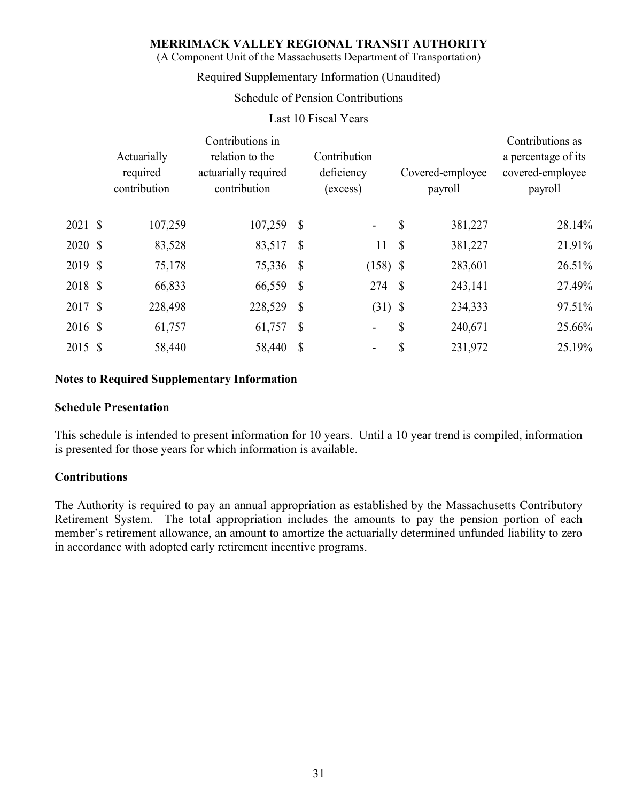#### (A Component Unit of the Massachusetts Department of Transportation)

### Required Supplementary Information (Unaudited)

### Schedule of Pension Contributions

## Last 10 Fiscal Years

|         |                                         | (A Component Unit of the Massachusetts Department of Transportation)<br>Required Supplementary Information (Unaudited) | MERRIMACK VALLEY REGIONAL TRANSIT AUTHORITY |                           |                             |                                                                        |
|---------|-----------------------------------------|------------------------------------------------------------------------------------------------------------------------|---------------------------------------------|---------------------------|-----------------------------|------------------------------------------------------------------------|
|         |                                         |                                                                                                                        | Schedule of Pension Contributions           |                           |                             |                                                                        |
|         |                                         |                                                                                                                        |                                             |                           |                             |                                                                        |
|         | Actuarially<br>required<br>contribution | Contributions in<br>relation to the<br>actuarially required<br>contribution                                            | Contribution<br>deficiency<br>(excess)      |                           | Covered-employee<br>payroll | Contributions as<br>a percentage of its<br>covered-employee<br>payroll |
| 2021 \$ | 107,259                                 | 107,259 \$                                                                                                             |                                             | $\mathbb{S}$              | 381,227                     | 28.14%                                                                 |
| 2020 \$ | 83,528                                  | 83,517 \$                                                                                                              | 11                                          | $\mathcal{S}$             | 381,227                     | 21.91%                                                                 |
| 2019    | $\boldsymbol{\mathsf{S}}$<br>75,178     | 75,336 \$                                                                                                              | $(158)$ \$                                  |                           | 283,601                     | 26.51%                                                                 |
| 2018 \$ | 66,833                                  | 66,559 \$                                                                                                              | 274                                         | -S                        | 243,141                     | 27.49%                                                                 |
| 2017 \$ | 228,498                                 | 228,529 \$                                                                                                             | $(31)$ \$                                   |                           | 234,333                     | 97.51%                                                                 |
| 2016 \$ | 61,757                                  | 61,757 \$                                                                                                              | $\sim$                                      | \$                        | 240,671                     | 25.66%                                                                 |
| 2015 \$ | 58,440                                  | 58,440 \$                                                                                                              | $\blacksquare$                              | $\boldsymbol{\mathsf{S}}$ | 231,972                     | 25.19%                                                                 |

### Notes to Required Supplementary Information

### Schedule Presentation

This schedule is intended to present information for 10 years. Until a 10 year trend is compiled, information is presented for those years for which information is available.

## Contributions

The Authority is required to pay an annual appropriation as established by the Massachusetts Contributory Retirement System. The total appropriation includes the amounts to pay the pension portion of each member's retirement allowance, an amount to amortize the actuarially determined unfunded liability to zero in accordance with adopted early retirement incentive programs.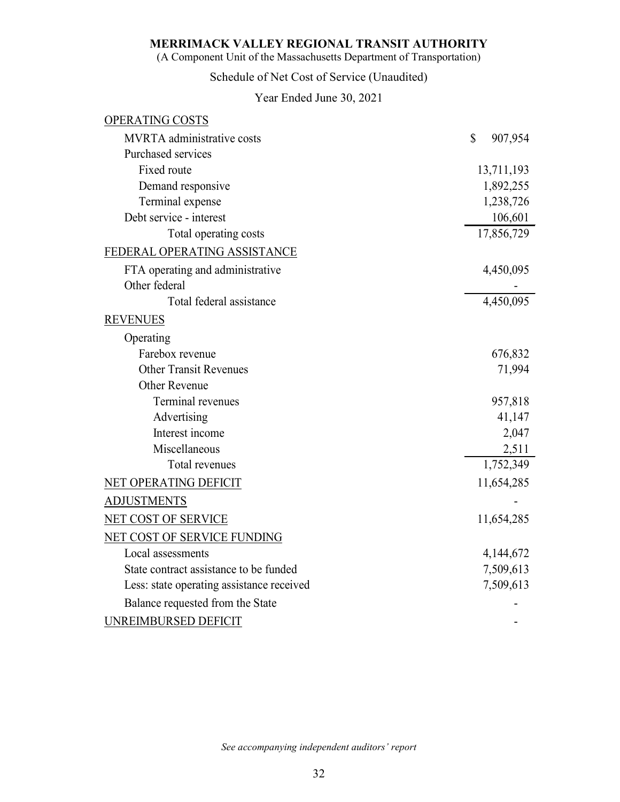| (A Component Unit of the Massachusetts Department of Transportation) |               |  |
|----------------------------------------------------------------------|---------------|--|
| Schedule of Net Cost of Service (Unaudited)                          |               |  |
| Year Ended June 30, 2021                                             |               |  |
|                                                                      |               |  |
| OPERATING COSTS                                                      |               |  |
| MVRTA administrative costs                                           | \$<br>907,954 |  |
| Purchased services                                                   |               |  |
| Fixed route                                                          | 13,711,193    |  |
| Demand responsive                                                    | 1,892,255     |  |
| Terminal expense                                                     | 1,238,726     |  |
| Debt service - interest                                              | 106,601       |  |
| Total operating costs                                                | 17,856,729    |  |
| FEDERAL OPERATING ASSISTANCE                                         |               |  |
| FTA operating and administrative                                     | 4,450,095     |  |
| Other federal                                                        |               |  |
| Total federal assistance                                             | 4,450,095     |  |
| <b>REVENUES</b>                                                      |               |  |
| Operating                                                            |               |  |
| Farebox revenue                                                      | 676,832       |  |
| <b>Other Transit Revenues</b>                                        | 71,994        |  |
| Other Revenue                                                        |               |  |
| Terminal revenues                                                    | 957,818       |  |
| Advertising                                                          | 41,147        |  |
| Interest income                                                      | 2,047         |  |
| Miscellaneous                                                        | 2,511         |  |
| Total revenues                                                       | 1,752,349     |  |
| NET OPERATING DEFICIT                                                | 11,654,285    |  |
| <b>ADJUSTMENTS</b>                                                   |               |  |
| NET COST OF SERVICE                                                  | 11,654,285    |  |
| NET COST OF SERVICE FUNDING                                          |               |  |
| Local assessments                                                    | 4,144,672     |  |
| State contract assistance to be funded                               | 7,509,613     |  |
| Less: state operating assistance received                            | 7,509,613     |  |
| Balance requested from the State                                     |               |  |
| UNREIMBURSED DEFICIT                                                 |               |  |

See accompanying independent auditors' report